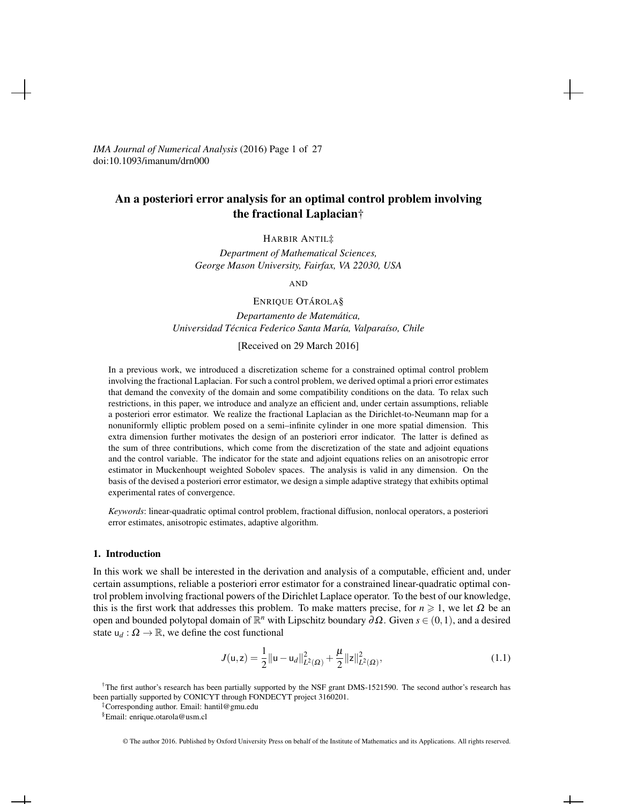*IMA Journal of Numerical Analysis* (2016) Page 1 of 27 doi:10.1093/imanum/drn000

# An a posteriori error analysis for an optimal control problem involving the fractional Laplacian†

HARBIR ANTIL‡

*Department of Mathematical Sciences, George Mason University, Fairfax, VA 22030, USA*

AND

ENRIQUE OTÁROLA§

*Departamento de Matematica, ´ Universidad Tecnica Federico Santa Mar ´ ´ıa, Valpara´ıso, Chile*

[Received on 29 March 2016]

In a previous work, we introduced a discretization scheme for a constrained optimal control problem involving the fractional Laplacian. For such a control problem, we derived optimal a priori error estimates that demand the convexity of the domain and some compatibility conditions on the data. To relax such restrictions, in this paper, we introduce and analyze an efficient and, under certain assumptions, reliable a posteriori error estimator. We realize the fractional Laplacian as the Dirichlet-to-Neumann map for a nonuniformly elliptic problem posed on a semi–infinite cylinder in one more spatial dimension. This extra dimension further motivates the design of an posteriori error indicator. The latter is defined as the sum of three contributions, which come from the discretization of the state and adjoint equations and the control variable. The indicator for the state and adjoint equations relies on an anisotropic error estimator in Muckenhoupt weighted Sobolev spaces. The analysis is valid in any dimension. On the basis of the devised a posteriori error estimator, we design a simple adaptive strategy that exhibits optimal experimental rates of convergence.

*Keywords*: linear-quadratic optimal control problem, fractional diffusion, nonlocal operators, a posteriori error estimates, anisotropic estimates, adaptive algorithm.

# 1. Introduction

In this work we shall be interested in the derivation and analysis of a computable, efficient and, under certain assumptions, reliable a posteriori error estimator for a constrained linear-quadratic optimal control problem involving fractional powers of the Dirichlet Laplace operator. To the best of our knowledge, this is the first work that addresses this problem. To make matters precise, for  $n \ge 1$ , we let  $\Omega$  be an open and bounded polytopal domain of R *<sup>n</sup>* with Lipschitz boundary ∂Ω. Given *s* ∈ (0,1), and a desired state  $u_d$  :  $\Omega \to \mathbb{R}$ , we define the cost functional

$$
J(\mathsf{u},\mathsf{z}) = \frac{1}{2} ||\mathsf{u} - \mathsf{u}_d||^2_{L^2(\Omega)} + \frac{\mu}{2} ||\mathsf{z}||^2_{L^2(\Omega)},\tag{1.1}
$$

†The first author's research has been partially supported by the NSF grant DMS-1521590. The second author's research has been partially supported by CONICYT through FONDECYT project 3160201.

‡Corresponding author. Email: hantil@gmu.edu

§Email: enrique.otarola@usm.cl

© The author 2016. Published by Oxford University Press on behalf of the Institute of Mathematics and its Applications. All rights reserved.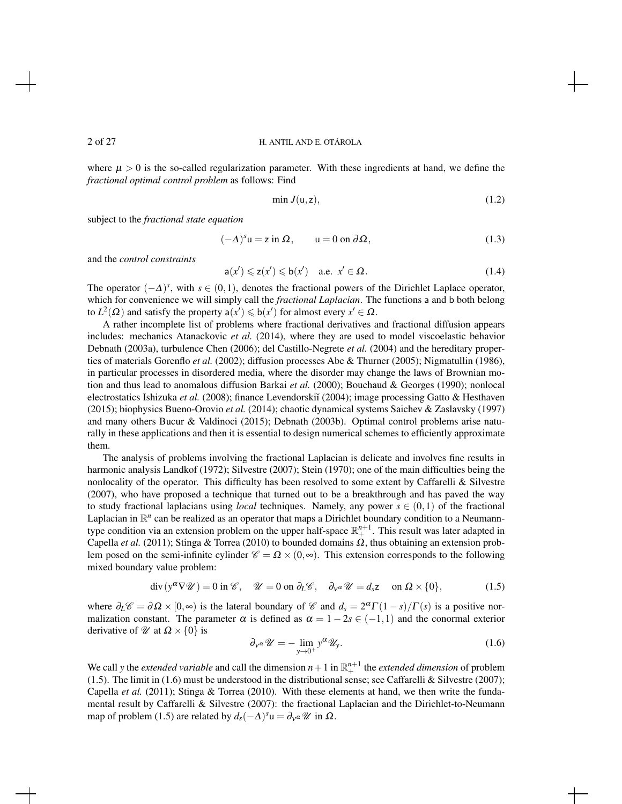where  $\mu > 0$  is the so-called regularization parameter. With these ingredients at hand, we define the *fractional optimal control problem* as follows: Find

$$
\min J(\mathsf{u},\mathsf{z}),\tag{1.2}
$$

subject to the *fractional state equation*

$$
(-\Delta)^s u = z \text{ in } \Omega, \qquad u = 0 \text{ on } \partial \Omega,
$$
 (1.3)

and the *control constraints*

$$
\mathsf{a}(x') \leqslant \mathsf{z}(x') \leqslant \mathsf{b}(x') \quad \text{a.e. } x' \in \Omega. \tag{1.4}
$$

The operator  $(-\Delta)^s$ , with  $s \in (0,1)$ , denotes the fractional powers of the Dirichlet Laplace operator, which for convenience we will simply call the *fractional Laplacian*. The functions a and b both belong to  $L^2(\Omega)$  and satisfy the property  $a(x') \leqslant b(x')$  for almost every  $x' \in \Omega$ .

A rather incomplete list of problems where fractional derivatives and fractional diffusion appears includes: mechanics Atanackovic *et al.* (2014), where they are used to model viscoelastic behavior Debnath (2003a), turbulence Chen (2006); del Castillo-Negrete *et al.* (2004) and the hereditary properties of materials Gorenflo *et al.* (2002); diffusion processes Abe & Thurner (2005); Nigmatullin (1986), in particular processes in disordered media, where the disorder may change the laws of Brownian motion and thus lead to anomalous diffusion Barkai *et al.* (2000); Bouchaud & Georges (1990); nonlocal electrostatics Ishizuka *et al.* (2008); finance Levendorskiĭ (2004); image processing Gatto & Hesthaven (2015); biophysics Bueno-Orovio *et al.* (2014); chaotic dynamical systems Saichev & Zaslavsky (1997) and many others Bucur & Valdinoci (2015); Debnath (2003b). Optimal control problems arise naturally in these applications and then it is essential to design numerical schemes to efficiently approximate them.

The analysis of problems involving the fractional Laplacian is delicate and involves fine results in harmonic analysis Landkof (1972); Silvestre (2007); Stein (1970); one of the main difficulties being the nonlocality of the operator. This difficulty has been resolved to some extent by Caffarelli & Silvestre (2007), who have proposed a technique that turned out to be a breakthrough and has paved the way to study fractional laplacians using *local* techniques. Namely, any power  $s \in (0,1)$  of the fractional Laplacian in  $\mathbb{R}^n$  can be realized as an operator that maps a Dirichlet boundary condition to a Neumanntype condition via an extension problem on the upper half-space  $\mathbb{R}^{n+1}_+$ . This result was later adapted in Capella *et al.* (2011); Stinga & Torrea (2010) to bounded domains  $\Omega$ , thus obtaining an extension problem posed on the semi-infinite cylinder  $\mathscr{C} = \Omega \times (0, \infty)$ . This extension corresponds to the following mixed boundary value problem:

$$
\operatorname{div}\left(y^{\alpha}\nabla\mathscr{U}\right) = 0 \text{ in } \mathscr{C}, \quad \mathscr{U} = 0 \text{ on } \partial_L \mathscr{C}, \quad \partial_{\mathsf{v}^{\alpha}}\mathscr{U} = d_s \mathsf{z} \quad \text{ on } \Omega \times \{0\},\tag{1.5}
$$

where  $\partial_L \mathscr{C} = \partial \Omega \times [0, \infty)$  is the lateral boundary of  $\mathscr{C}$  and  $d_s = 2^{\alpha} \Gamma(1-s)/\Gamma(s)$  is a positive normalization constant. The parameter  $\alpha$  is defined as  $\alpha = 1 - 2s \in (-1,1)$  and the conormal exterior derivative of  $\mathcal{U}$  at  $\Omega \times \{0\}$  is

$$
\partial_{\mathbf{v}} \alpha \mathscr{U} = -\lim_{\mathbf{y} \to 0^+} \mathbf{y}^{\alpha} \mathscr{U}_{\mathbf{y}}.\tag{1.6}
$$

We call *y* the *extended variable* and call the dimension  $n+1$  in  $\mathbb{R}^{n+1}_+$  the *extended dimension* of problem (1.5). The limit in (1.6) must be understood in the distributional sense; see Caffarelli & Silvestre (2007); Capella *et al.* (2011); Stinga & Torrea (2010). With these elements at hand, we then write the fundamental result by Caffarelli & Silvestre (2007): the fractional Laplacian and the Dirichlet-to-Neumann map of problem (1.5) are related by  $d_s(-\Delta)^s u = \partial_v a \mathscr{U}$  in  $\Omega$ .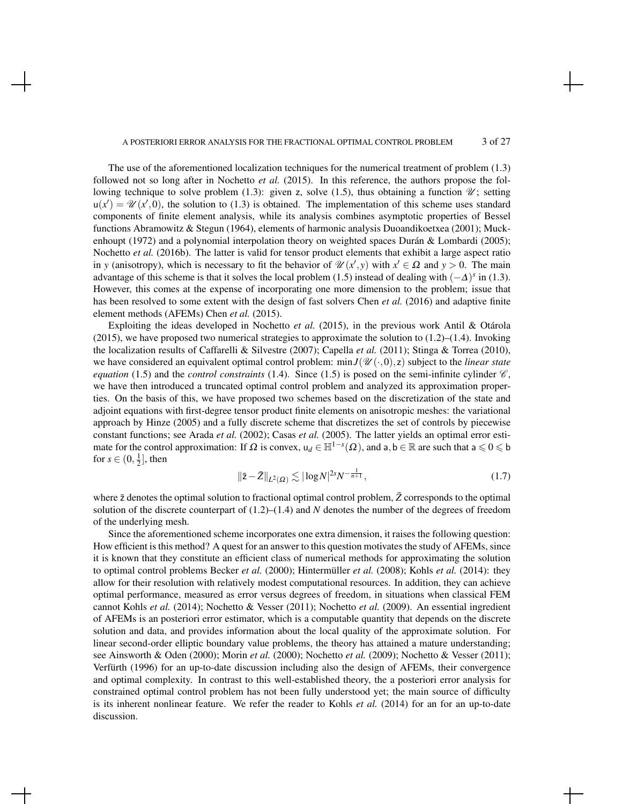#### A POSTERIORI ERROR ANALYSIS FOR THE FRACTIONAL OPTIMAL CONTROL PROBLEM 3 of 27

The use of the aforementioned localization techniques for the numerical treatment of problem (1.3) followed not so long after in Nochetto *et al.* (2015). In this reference, the authors propose the following technique to solve problem (1.3): given z, solve (1.5), thus obtaining a function  $\mathcal{U}$ ; setting  $u(x') = \mathcal{U}(x', 0)$ , the solution to (1.3) is obtained. The implementation of this scheme uses standard components of finite element analysis, while its analysis combines asymptotic properties of Bessel functions Abramowitz & Stegun (1964), elements of harmonic analysis Duoandikoetxea (2001); Muckenhoupt (1972) and a polynomial interpolation theory on weighted spaces Durán  $& Lombardi$  (2005); Nochetto *et al.* (2016b). The latter is valid for tensor product elements that exhibit a large aspect ratio in *y* (anisotropy), which is necessary to fit the behavior of  $\mathcal{U}(x',y)$  with  $x' \in \Omega$  and  $y > 0$ . The main advantage of this scheme is that it solves the local problem (1.5) instead of dealing with  $(-\Delta)^s$  in (1.3). However, this comes at the expense of incorporating one more dimension to the problem; issue that has been resolved to some extent with the design of fast solvers Chen *et al.* (2016) and adaptive finite element methods (AFEMs) Chen *et al.* (2015).

Exploiting the ideas developed in Nochetto *et al.* (2015), in the previous work Antil & Otárola  $(2015)$ , we have proposed two numerical strategies to approximate the solution to  $(1.2)$ – $(1.4)$ . Invoking the localization results of Caffarelli & Silvestre (2007); Capella *et al.* (2011); Stinga & Torrea (2010), we have considered an equivalent optimal control problem:  $\min J(\mathscr{U}(\cdot,0), z)$  subject to the *linear state equation* (1.5) and the *control constraints* (1.4). Since (1.5) is posed on the semi-infinite cylinder  $\mathscr{C}$ , we have then introduced a truncated optimal control problem and analyzed its approximation properties. On the basis of this, we have proposed two schemes based on the discretization of the state and adjoint equations with first-degree tensor product finite elements on anisotropic meshes: the variational approach by Hinze (2005) and a fully discrete scheme that discretizes the set of controls by piecewise constant functions; see Arada *et al.* (2002); Casas *et al.* (2005). The latter yields an optimal error estimate for the control approximation: If  $\Omega$  is convex,  $u_d \in \mathbb{H}^{1-s}(\Omega)$ , and  $a, b \in \mathbb{R}$  are such that  $a \leq 0 \leq b$ for  $s \in (0, \frac{1}{2}]$ , then

$$
\|\bar{z} - \bar{Z}\|_{L^2(\Omega)} \lesssim |\log N|^{2s} N^{-\frac{1}{n+1}},\tag{1.7}
$$

where  $\bar{z}$  denotes the optimal solution to fractional optimal control problem,  $\bar{Z}$  corresponds to the optimal solution of the discrete counterpart of (1.2)–(1.4) and *N* denotes the number of the degrees of freedom of the underlying mesh.

Since the aforementioned scheme incorporates one extra dimension, it raises the following question: How efficient is this method? A quest for an answer to this question motivates the study of AFEMs, since it is known that they constitute an efficient class of numerical methods for approximating the solution to optimal control problems Becker *et al.* (2000); Hintermüller *et al.* (2008); Kohls *et al.* (2014): they allow for their resolution with relatively modest computational resources. In addition, they can achieve optimal performance, measured as error versus degrees of freedom, in situations when classical FEM cannot Kohls *et al.* (2014); Nochetto & Vesser (2011); Nochetto *et al.* (2009). An essential ingredient of AFEMs is an posteriori error estimator, which is a computable quantity that depends on the discrete solution and data, and provides information about the local quality of the approximate solution. For linear second-order elliptic boundary value problems, the theory has attained a mature understanding; see Ainsworth & Oden (2000); Morin *et al.* (2000); Nochetto *et al.* (2009); Nochetto & Vesser (2011); Verfürth (1996) for an up-to-date discussion including also the design of AFEMs, their convergence and optimal complexity. In contrast to this well-established theory, the a posteriori error analysis for constrained optimal control problem has not been fully understood yet; the main source of difficulty is its inherent nonlinear feature. We refer the reader to Kohls *et al.* (2014) for an for an up-to-date discussion.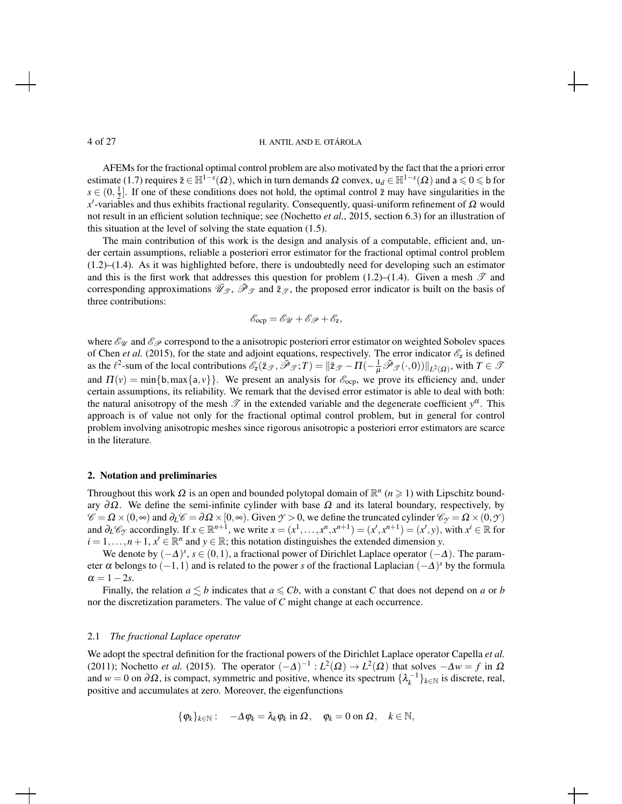AFEMs for the fractional optimal control problem are also motivated by the fact that the a priori error estimate (1.7) requires  $\bar{z} \in \mathbb{H}^{1-s}(\Omega)$ , which in turn demands  $\Omega$  convex,  $u_d \in \mathbb{H}^{1-s}(\Omega)$  and  $a \leqslant 0 \leqslant b$  for  $s \in (0, \frac{1}{2}]$ . If one of these conditions does not hold, the optimal control  $\bar{z}$  may have singularities in the *x*<sup>'</sup>-variables and thus exhibits fractional regularity. Consequently, quasi-uniform refinement of Ω would not result in an efficient solution technique; see (Nochetto *et al.*, 2015, section 6.3) for an illustration of this situation at the level of solving the state equation (1.5).

The main contribution of this work is the design and analysis of a computable, efficient and, under certain assumptions, reliable a posteriori error estimator for the fractional optimal control problem (1.2)–(1.4). As it was highlighted before, there is undoubtedly need for developing such an estimator and this is the first work that addresses this question for problem (1.2)–(1.4). Given a mesh  $\mathscr T$  and corresponding approximations  $\mathcal{U}_{\mathcal{F}}$ ,  $\mathcal{P}_{\mathcal{F}}$  and  $\bar{z}_{\mathcal{F}}$ , the proposed error indicator is built on the basis of three contributions:

$$
\mathscr{E}_{\text{ocp}} = \mathscr{E}_{\mathscr{U}} + \mathscr{E}_{\mathscr{P}} + \mathscr{E}_{z},
$$

where  $\mathscr{E}_{\mathscr{U}}$  and  $\mathscr{E}_{\mathscr{P}}$  correspond to the a anisotropic posteriori error estimator on weighted Sobolev spaces of Chen *et al.* (2015), for the state and adjoint equations, respectively. The error indicator  $\mathcal{E}_z$  is defined as the  $\ell^2$ -sum of the local contributions  $\mathscr{E}_z(\bar{z}_{\mathscr{T}}, \bar{\mathscr{P}}_{\mathscr{T}};T) = ||\bar{z}_{\mathscr{T}} - \Pi(-\frac{1}{\mu}\bar{\mathscr{P}}_{\mathscr{T}}(\cdot,0))||_{L^2(\Omega)}$ , with  $T \in \mathscr{T}$ and  $\Pi(v) = \min\{b, \max\{a, v\}\}\.$  We present an analysis for  $\mathscr{E}_{\text{ocp}}$ , we prove its efficiency and, under certain assumptions, its reliability. We remark that the devised error estimator is able to deal with both: the natural anisotropy of the mesh  $\mathscr T$  in the extended variable and the degenerate coefficient  $y^{\alpha}$ . This approach is of value not only for the fractional optimal control problem, but in general for control problem involving anisotropic meshes since rigorous anisotropic a posteriori error estimators are scarce in the literature.

# 2. Notation and preliminaries

Throughout this work  $\Omega$  is an open and bounded polytopal domain of  $\mathbb{R}^n$  ( $n \geq 1$ ) with Lipschitz boundary  $\partial \Omega$ . We define the semi-infinite cylinder with base  $\Omega$  and its lateral boundary, respectively, by  $\mathscr{C} = \Omega \times (0, \infty)$  and  $\partial_L \mathscr{C} = \partial \Omega \times [0, \infty)$ . Given  $\mathscr{Y} > 0$ , we define the truncated cylinder  $\mathscr{C}_{\mathscr{Y}} = \Omega \times (0, \mathscr{Y})$ and  $\partial_L \mathcal{C}_{\mathcal{I}}$  accordingly. If  $x \in \mathbb{R}^{n+1}$ , we write  $x = (x^1, \dots, x^n, x^{n+1}) = (x', x^{n+1}) = (x', y)$ , with  $x^i \in \mathbb{R}$  for  $i = 1, \ldots, n+1, x' \in \mathbb{R}^n$  and  $y \in \mathbb{R}$ ; this notation distinguishes the extended dimension *y*.

We denote by  $(-\Delta)^s$ , *s* ∈ (0, 1), a fractional power of Dirichlet Laplace operator  $(-\Delta)$ . The parameter  $\alpha$  belongs to  $(-1,1)$  and is related to the power *s* of the fractional Laplacian  $(-\Delta)^s$  by the formula  $\alpha = 1-2s$ .

Finally, the relation  $a \leq b$  indicates that  $a \leq Cb$ , with a constant *C* that does not depend on *a* or *b* nor the discretization parameters. The value of *C* might change at each occurrence.

# 2.1 *The fractional Laplace operator*

We adopt the spectral definition for the fractional powers of the Dirichlet Laplace operator Capella *et al.* (2011); Nochetto *et al.* (2015). The operator  $(-\Delta)^{-1}$ :  $L^2(\Omega) \to L^2(\Omega)$  that solves  $-\Delta w = f$  in  $\Omega$ and  $w = 0$  on  $\partial\Omega$ , is compact, symmetric and positive, whence its spectrum  $\{\lambda_k^{-1}\}_{k \in \mathbb{N}}$  is discrete, real, positive and accumulates at zero. Moreover, the eigenfunctions

$$
\{\varphi_k\}_{k\in\mathbb{N}}:\quad -\Delta\varphi_k=\lambda_k\varphi_k\text{ in }\Omega,\quad \varphi_k=0\text{ on }\Omega,\quad k\in\mathbb{N},
$$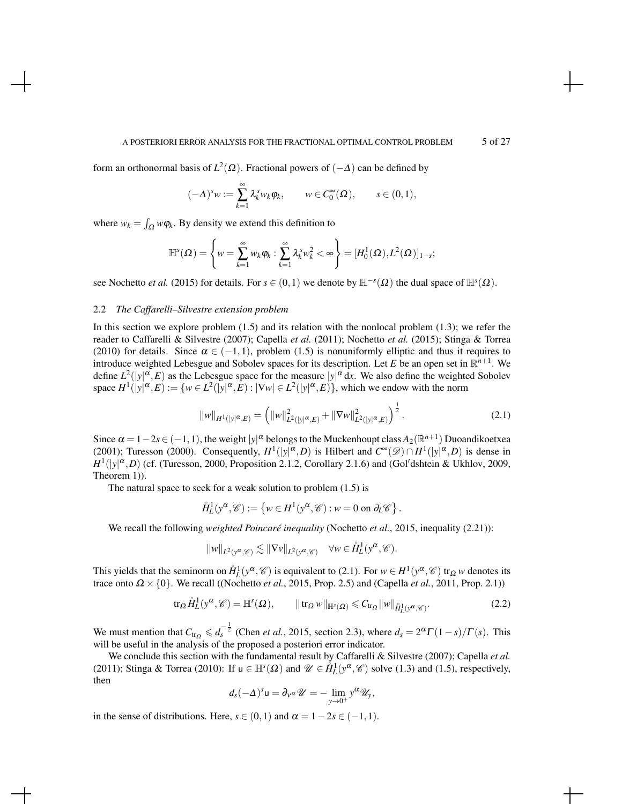#### A POSTERIORI ERROR ANALYSIS FOR THE FRACTIONAL OPTIMAL CONTROL PROBLEM 5 of 27

form an orthonormal basis of  $L^2(\Omega)$ . Fractional powers of  $(-\Delta)$  can be defined by

$$
(-\Delta)^s w := \sum_{k=1}^{\infty} \lambda_k^s w_k \varphi_k, \qquad w \in C_0^{\infty}(\Omega), \qquad s \in (0,1),
$$

where  $w_k = \int_{\Omega} w \phi_k$ . By density we extend this definition to

$$
\mathbb{H}^{s}(\Omega)=\left\{w=\sum_{k=1}^{\infty}w_{k}\varphi_{k}:\sum_{k=1}^{\infty}\lambda_{k}^{s}w_{k}^{2}<\infty\right\}=[H_{0}^{1}(\Omega),L^{2}(\Omega)]_{1-s};
$$

see Nochetto *et al.* (2015) for details. For  $s \in (0,1)$  we denote by  $\mathbb{H}^{-s}(\Omega)$  the dual space of  $\mathbb{H}^{s}(\Omega)$ .

### 2.2 *The Caffarelli–Silvestre extension problem*

In this section we explore problem (1.5) and its relation with the nonlocal problem (1.3); we refer the reader to Caffarelli & Silvestre (2007); Capella *et al.* (2011); Nochetto *et al.* (2015); Stinga & Torrea (2010) for details. Since  $\alpha \in (-1,1)$ , problem (1.5) is nonuniformly elliptic and thus it requires to introduce weighted Lebesgue and Sobolev spaces for its description. Let *E* be an open set in  $\mathbb{R}^{n+1}$ . We define  $L^2(|y|^\alpha, E)$  as the Lebesgue space for the measure  $|y|^\alpha dx$ . We also define the weighted Sobolev space  $H^1(|y|^\alpha, E) := \{w \in L^2(|y|^\alpha, E) : |\nabla w| \in L^2(|y|^\alpha, E)\}$ , which we endow with the norm

$$
||w||_{H^1(|y|^{\alpha},E)} = \left(||w||^2_{L^2(|y|^{\alpha},E)} + ||\nabla w||^2_{L^2(|y|^{\alpha},E)}\right)^{\frac{1}{2}}.
$$
\n(2.1)

.

Since  $\alpha = 1 - 2s \in (-1, 1)$ , the weight  $|y|^\alpha$  belongs to the Muckenhoupt class  $A_2(\mathbb{R}^{n+1})$  Duoandikoetxea (2001); Turesson (2000). Consequently,  $H^1(|y|^\alpha, D)$  is Hilbert and  $C^\infty(\mathscr{D}) \cap H^1(|y|^\alpha, D)$  is dense in  $H^1(|y|^\alpha, D)$  (cf. (Turesson, 2000, Proposition 2.1.2, Corollary 2.1.6) and (Gol'dshtein & Ukhlov, 2009, Theorem 1)).

The natural space to seek for a weak solution to problem (1.5) is

$$
\mathring{H}^1_L(y^\alpha, \mathscr{C}) := \left\{ w \in H^1(y^\alpha, \mathscr{C}) : w = 0 \text{ on } \partial_L \mathscr{C} \right\}
$$

We recall the following *weighted Poincaré inequality* (Nochetto *et al.*, 2015, inequality (2.21)):

$$
||w||_{L^2(y^{\alpha}, \mathscr{C})} \lesssim ||\nabla v||_{L^2(y^{\alpha}, \mathscr{C})} \quad \forall w \in \mathring{H}_L^1(y^{\alpha}, \mathscr{C}).
$$

This yields that the seminorm on  $\mathring{H}_L^1(y^\alpha, \mathscr{C})$  is equivalent to (2.1). For  $w \in H^1(y^\alpha, \mathscr{C})$  tr<sub> $\Omega$ </sub> *w* denotes its trace onto  $\Omega \times \{0\}$ . We recall ((Nochetto *et al.*, 2015, Prop. 2.5) and (Capella *et al.*, 2011, Prop. 2.1))

$$
\operatorname{tr}_{\Omega} \mathring{H}_L^1(y^{\alpha}, \mathscr{C}) = \mathbb{H}^s(\Omega), \qquad \|\operatorname{tr}_{\Omega} w\|_{\mathbb{H}^s(\Omega)} \leq C_{\operatorname{tr}_{\Omega}} \|w\|_{\mathring{H}_L^1(y^{\alpha}, \mathscr{C})}. \tag{2.2}
$$

We must mention that  $C_{tr_\Omega} \leq d_s^{-\frac{1}{2}}$  (Chen *et al.*, 2015, section 2.3), where  $d_s = 2^{\alpha} \Gamma(1-s)/\Gamma(s)$ . This will be useful in the analysis of the proposed a posteriori error indicator.

We conclude this section with the fundamental result by Caffarelli & Silvestre (2007); Capella *et al.* (2011); Stinga & Torrea (2010): If  $u \in \mathbb{H}^s(\Omega)$  and  $\mathscr{U} \in \overset{\circ}{H}_L^1(y^\alpha, \mathscr{C})$  solve (1.3) and (1.5), respectively, then

$$
d_s(-\Delta)^s u = \partial_v \alpha \mathscr{U} = -\lim_{y\to 0^+} y^{\alpha} \mathscr{U}_y,
$$

in the sense of distributions. Here,  $s \in (0,1)$  and  $\alpha = 1-2s \in (-1,1)$ .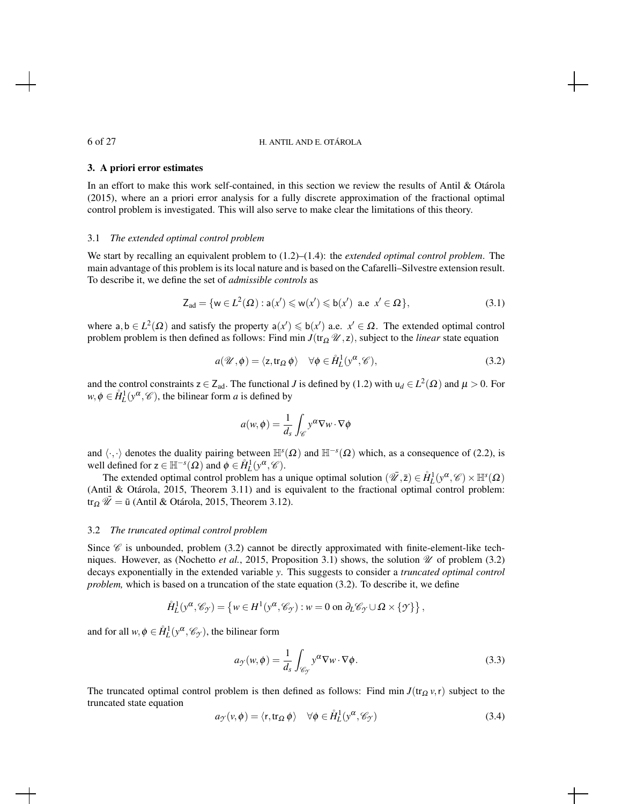# 3. A priori error estimates

In an effort to make this work self-contained, in this section we review the results of Antil & Otárola (2015), where an a priori error analysis for a fully discrete approximation of the fractional optimal control problem is investigated. This will also serve to make clear the limitations of this theory.

#### 3.1 *The extended optimal control problem*

We start by recalling an equivalent problem to (1.2)–(1.4): the *extended optimal control problem*. The main advantage of this problem is its local nature and is based on the Cafarelli–Silvestre extension result. To describe it, we define the set of *admissible controls* as

$$
Z_{ad} = \{ w \in L^2(\Omega) : a(x') \leqslant w(x') \leqslant b(x') \text{ a.e } x' \in \Omega \},\tag{3.1}
$$

where  $a, b \in L^2(\Omega)$  and satisfy the property  $a(x') \leq b(x')$  a.e.  $x' \in \Omega$ . The extended optimal control problem problem is then defined as follows: Find min  $J(\text{tr}_{\Omega} \mathcal{U}, z)$ , subject to the *linear* state equation

$$
a(\mathscr{U}, \phi) = \langle z, \text{tr}_{\Omega} \phi \rangle \quad \forall \phi \in \mathring{H}_L^1(y^{\alpha}, \mathscr{C}), \tag{3.2}
$$

and the control constraints  $z \in Z_{ad}$ . The functional *J* is defined by (1.2) with  $u_d \in L^2(\Omega)$  and  $\mu > 0$ . For  $w, \phi \in \mathring{H}_L^1(y^\alpha, \mathcal{C})$ , the bilinear form *a* is defined by

$$
a(w, \phi) = \frac{1}{d_s} \int_{\mathscr{C}} y^{\alpha} \nabla w \cdot \nabla \phi
$$

and  $\langle \cdot, \cdot \rangle$  denotes the duality pairing between  $\mathbb{H}^s(\Omega)$  and  $\mathbb{H}^{-s}(\Omega)$  which, as a consequence of (2.2), is well defined for  $z \in \mathbb{H}^{-s}(\Omega)$  and  $\phi \in \mathring{H}_L^1(y^\alpha, \mathcal{C})$ .

The extended optimal control problem has a unique optimal solution  $(\bar{\mathscr{U}}, \bar{z}) \in \mathring{H}_L^1(y^\alpha, \mathscr{C}) \times \mathbb{H}^s(\Omega)$ (Antil & Otárola, 2015, Theorem 3.11) and is equivalent to the fractional optimal control problem: tr<sub>Ω</sub>  $\overline{\mathcal{U}} = \overline{u}$  (Antil & Otárola, 2015, Theorem 3.12).

# 3.2 *The truncated optimal control problem*

Since  $\mathscr C$  is unbounded, problem (3.2) cannot be directly approximated with finite-element-like techniques. However, as (Nochetto *et al.*, 2015, Proposition 3.1) shows, the solution  $\mathcal U$  of problem (3.2) decays exponentially in the extended variable *y*. This suggests to consider a *truncated optimal control problem,* which is based on a truncation of the state equation (3.2). To describe it, we define

$$
\mathring{H}^1_L(y^\alpha,\mathscr{C}_{\mathcal{I}})=\left\{w\in H^1(y^\alpha,\mathscr{C}_{\mathcal{I}}):w=0\text{ on }\partial_L\mathscr{C}_{\mathcal{I}}\cup\Omega\times\{\mathcal{I}\}\right\},
$$

and for all  $w, \phi \in \mathring{H}^1_L(y^\alpha, \mathscr{C}_y)$ , the bilinear form

$$
a_{\mathcal{Y}}(w,\phi) = \frac{1}{d_s} \int_{\mathscr{C}_{\mathcal{Y}}} y^{\alpha} \nabla w \cdot \nabla \phi.
$$
 (3.3)

The truncated optimal control problem is then defined as follows: Find min  $J(\text{tr}_\Omega v, r)$  subject to the truncated state equation

$$
a_{\mathcal{F}}(\nu,\phi) = \langle \mathbf{r}, \operatorname{tr}_{\Omega} \phi \rangle \quad \forall \phi \in \mathring{H}_L^1(\mathbf{y}^\alpha, \mathscr{C}_\mathcal{F})
$$
(3.4)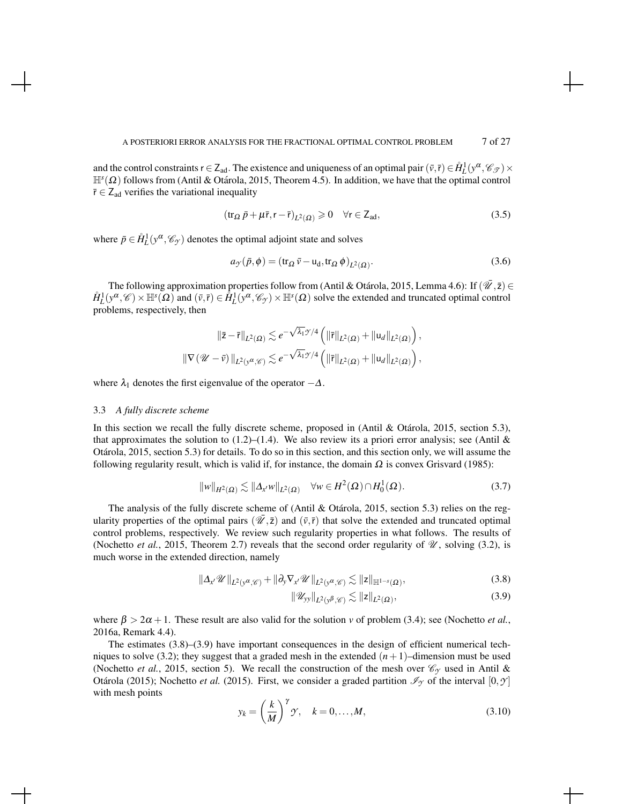and the control constraints  $r \in Z_{ad}$ . The existence and uniqueness of an optimal pair  $(\bar{v}, \bar{r}) \in \mathring{H}_L^1(y^\alpha, \mathscr{C}_{\mathscr{T}}) \times$  $\mathbb{H}^s(\Omega)$  follows from (Antil & Otárola, 2015, Theorem 4.5). In addition, we have that the optimal control  $\bar{r} \in Z_{ad}$  verifies the variational inequality

$$
(\operatorname{tr}_{\Omega} \bar{p} + \mu \bar{r}, r - \bar{r})_{L^2(\Omega)} \geq 0 \quad \forall r \in \mathsf{Z}_{ad},\tag{3.5}
$$

where  $\bar{p} \in \mathring{H}_L^1(y^\alpha, \mathscr{C}_y)$  denotes the optimal adjoint state and solves

$$
a_{\mathcal{I}}(\bar{p}, \phi) = (\text{tr}_{\Omega} \bar{v} - \text{u}_{d}, \text{tr}_{\Omega} \phi)_{L^{2}(\Omega)}.
$$
\n(3.6)

The following approximation properties follow from (Antil & Otárola, 2015, Lemma 4.6): If  $(\bar{W}, \bar{z}) \in$  $\hat{H}_L^1(y^\alpha, \mathscr{C}) \times \mathbb{H}^s(\Omega)$  and  $(\bar{v}, \bar{r}) \in \hat{H}_L^1(y^\alpha, \mathscr{C}_y) \times \mathbb{H}^s(\Omega)$  solve the extended and truncated optimal control problems, respectively, then

$$
\begin{aligned} \left\|\bar{\mathbf{z}}-\bar{\mathbf{r}}\right\|_{L^2(\Omega)} &\lesssim e^{-\sqrt{\lambda_1}\mathcal{T}/4}\left(\|\bar{\mathbf{r}}\|_{L^2(\Omega)}+\|\mathbf{u}_d\|_{L^2(\Omega)}\right),\\ \left\|\nabla\left(\mathscr{U}-\bar{\mathbf{v}}\right)\right\|_{L^2(\mathbf{y}^\alpha,\mathscr{C})} &\lesssim e^{-\sqrt{\lambda_1}\mathcal{T}/4}\left(\|\bar{\mathbf{r}}\|_{L^2(\Omega)}+\|\mathbf{u}_d\|_{L^2(\Omega)}\right), \end{aligned}
$$

where  $\lambda_1$  denotes the first eigenvalue of the operator  $-\Delta$ .

### 3.3 *A fully discrete scheme*

In this section we recall the fully discrete scheme, proposed in (Antil  $&$  Otárola, 2015, section 5.3), that approximates the solution to  $(1.2)$ – $(1.4)$ . We also review its a priori error analysis; see (Antil & Otarola, 2015, section 5.3) for details. To do so in this section, and this section only, we will assume the ´ following regularity result, which is valid if, for instance, the domain  $\Omega$  is convex Grisvard (1985):

$$
||w||_{H^2(\Omega)} \lesssim ||\Delta_{x'} w||_{L^2(\Omega)} \quad \forall w \in H^2(\Omega) \cap H_0^1(\Omega). \tag{3.7}
$$

The analysis of the fully discrete scheme of (Antil & Otárola, 2015, section 5.3) relies on the regularity properties of the optimal pairs  $(\bar{V}, \bar{z})$  and  $(\bar{v}, \bar{r})$  that solve the extended and truncated optimal control problems, respectively. We review such regularity properties in what follows. The results of (Nochetto *et al.*, 2015, Theorem 2.7) reveals that the second order regularity of  $\mathcal{U}$ , solving (3.2), is much worse in the extended direction, namely

$$
\|\Delta_{x'}\mathscr{U}\|_{L^{2}(y^{\alpha},\mathscr{C})}+\|\partial_{y}\nabla_{x'}\mathscr{U}\|_{L^{2}(y^{\alpha},\mathscr{C})}\lesssim \|z\|_{\mathbb{H}^{1-s}(\Omega)},\tag{3.8}
$$

$$
\|\mathscr{U}_{\mathsf{yy}}\|_{L^2(\mathsf{y}^\beta,\mathscr{C})} \lesssim \|z\|_{L^2(\Omega)},\tag{3.9}
$$

where  $\beta > 2\alpha + 1$ . These result are also valid for the solution *v* of problem (3.4); see (Nochetto *et al.*, 2016a, Remark 4.4).

The estimates  $(3.8)$ – $(3.9)$  have important consequences in the design of efficient numerical techniques to solve (3.2); they suggest that a graded mesh in the extended  $(n+1)$ –dimension must be used (Nochetto *et al.*, 2015, section 5). We recall the construction of the mesh over  $\mathcal{C}_{\gamma}$  used in Antil & Otárola (2015); Nochetto *et al.* (2015). First, we consider a graded partition  $\mathcal{I}_{\gamma}$  of the interval  $[0, \gamma]$ with mesh points

$$
y_k = \left(\frac{k}{M}\right)^{\gamma} \gamma, \quad k = 0, \dots, M,
$$
\n(3.10)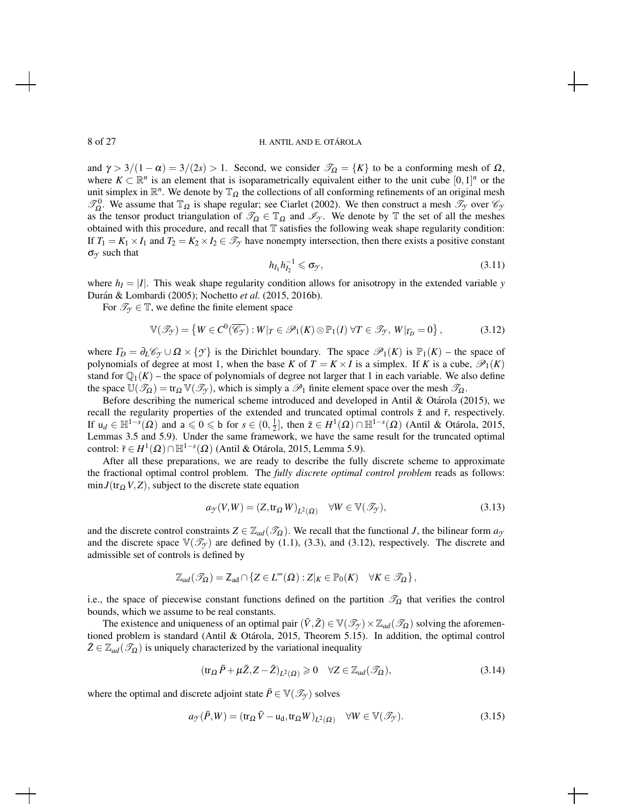and  $\gamma > 3/(1 - \alpha) = 3/(2s) > 1$ . Second, we consider  $\mathcal{T}_{\Omega} = \{K\}$  to be a conforming mesh of  $\Omega$ , where  $K \subset \mathbb{R}^n$  is an element that is isoparametrically equivalent either to the unit cube  $[0,1]^n$  or the unit simplex in  $\mathbb{R}^n$ . We denote by  $\mathbb{T}_{\Omega}$  the collections of all conforming refinements of an original mesh  $\mathcal{T}_{\Omega}^0$ . We assume that  $\mathbb{T}_{\Omega}$  is shape regular; see Ciarlet (2002). We then construct a mesh  $\mathcal{T}_{\gamma}$  over  $\mathcal{C}_{\gamma}$ as the tensor product triangulation of  $\mathcal{T}_{\Omega} \in \mathbb{T}_{\Omega}$  and  $\mathcal{I}_{\gamma}$ . We denote by  $\mathbb{T}$  the set of all the meshes obtained with this procedure, and recall that T satisfies the following weak shape regularity condition: If  $T_1 = K_1 \times I_1$  and  $T_2 = K_2 \times I_2 \in \mathcal{T}_{\gamma}$  have nonempty intersection, then there exists a positive constant  $\sigma_Y$  such that

$$
h_{I_1}h_{I_2}^{-1}\leqslant \sigma_{\mathcal{Y}},\tag{3.11}
$$

where  $h_I = |I|$ . This weak shape regularity condition allows for anisotropy in the extended variable *y* Durán & Lombardi (2005); Nochetto et al. (2015, 2016b).

For  $\mathcal{T}_{\gamma} \in \mathbb{T}$ , we define the finite element space

$$
\mathbb{V}(\mathscr{T}_{\mathcal{Y}}) = \left\{ W \in C^{0}(\overline{\mathscr{C}_{\mathcal{Y}}}) : W|_{T} \in \mathscr{P}_{1}(K) \otimes \mathbb{P}_{1}(I) \,\forall T \in \mathscr{T}_{\mathcal{Y}}, \, W|_{\Gamma_{D}} = 0 \right\},\tag{3.12}
$$

where  $\Gamma_D = \partial_L \mathcal{C}_{\gamma} \cup \Omega \times \{\gamma\}$  is the Dirichlet boundary. The space  $\mathcal{P}_1(K)$  is  $\mathbb{P}_1(K)$  – the space of polynomials of degree at most 1, when the base *K* of  $T = K \times I$  is a simplex. If *K* is a cube,  $\mathcal{P}_1(K)$ stand for  $\mathbb{Q}_1(K)$  – the space of polynomials of degree not larger that 1 in each variable. We also define the space  $\mathbb{U}(\mathcal{T}_{\Omega}) = \text{tr}_{\Omega} \mathbb{V}(\mathcal{T}_{\gamma})$ , which is simply a  $\mathcal{P}_1$  finite element space over the mesh  $\mathcal{T}_{\Omega}$ .

Before describing the numerical scheme introduced and developed in Antil & Otárola (2015), we recall the regularity properties of the extended and truncated optimal controls  $\bar{z}$  and  $\bar{r}$ , respectively. If  $u_d \in \mathbb{H}^{1-s}(\Omega)$  and  $a \leq 0 \leq b$  for  $s \in (0, \frac{1}{2}]$ , then  $\overline{z} \in H^1(\Omega) \cap \mathbb{H}^{1-s}(\Omega)$  (Antil & Otárola, 2015, Lemmas 3.5 and 5.9). Under the same framework, we have the same result for the truncated optimal control:  $\bar{r}$  ∈ *H*<sup>1</sup>(Ω)∩ $\mathbb{H}^{1-s}$ (Ω) (Antil & Otárola, 2015, Lemma 5.9).

After all these preparations, we are ready to describe the fully discrete scheme to approximate the fractional optimal control problem. The *fully discrete optimal control problem* reads as follows:  $\min J(\text{tr}_{\Omega} V, Z)$ , subject to the discrete state equation

$$
a_{\mathcal{Y}}(V,W) = (Z, \text{tr}_{\Omega} W)_{L^{2}(\Omega)} \quad \forall W \in \mathbb{V}(\mathcal{I}_{\mathcal{Y}}),
$$
\n(3.13)

and the discrete control constraints  $Z \in \mathbb{Z}_{ad}(\mathcal{I}_{\Omega})$ . We recall that the functional *J*, the bilinear form  $a_{\gamma}$ and the discrete space  $\mathbb{V}(\mathcal{I}_{\gamma})$  are defined by (1.1), (3.3), and (3.12), respectively. The discrete and admissible set of controls is defined by

$$
\mathbb{Z}_{ad}(\mathscr{T}_{\Omega}) = \mathsf{Z}_{ad} \cap \{ Z \in L^{\infty}(\Omega) : Z|_{K} \in \mathbb{P}_{0}(K) \quad \forall K \in \mathscr{T}_{\Omega} \},
$$

i.e., the space of piecewise constant functions defined on the partition  $\mathcal{T}_{\Omega}$  that verifies the control bounds, which we assume to be real constants.

The existence and uniqueness of an optimal pair  $(\bar{V}, \bar{Z}) \in \mathbb{V}(\mathcal{I}_{\gamma}) \times \mathbb{Z}_{ad}(\mathcal{I}_{\Omega})$  solving the aforementioned problem is standard (Antil  $&$  Otárola, 2015, Theorem 5.15). In addition, the optimal control  $\bar{Z} \in \mathbb{Z}_{ad}(\mathscr{T}_{\Omega})$  is uniquely characterized by the variational inequality

$$
(\operatorname{tr}_{\Omega} \bar{P} + \mu \bar{Z}, Z - \bar{Z})_{L^2(\Omega)} \geq 0 \quad \forall Z \in \mathbb{Z}_{ad}(\mathcal{I}_{\Omega}), \tag{3.14}
$$

where the optimal and discrete adjoint state  $\bar{P} \in \mathbb{V}(\mathcal{I}_{\gamma})$  solves

$$
a_{\mathcal{I}}(\bar{P}, W) = (\text{tr}_{\Omega} \bar{V} - \text{u}_{d}, \text{tr}_{\Omega} W)_{L^{2}(\Omega)} \quad \forall W \in \mathbb{V}(\mathcal{I}_{\mathcal{I}}).
$$
\n(3.15)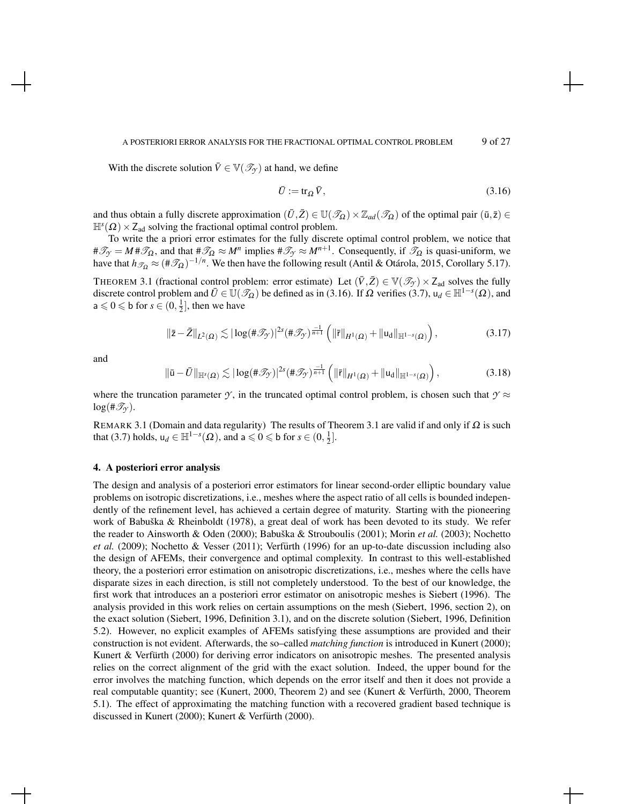#### A POSTERIORI ERROR ANALYSIS FOR THE FRACTIONAL OPTIMAL CONTROL PROBLEM 9 of 27

With the discrete solution  $\overline{V} \in \mathbb{V}(\mathcal{I}_{\gamma})$  at hand, we define

$$
\bar{U} := \text{tr}_{\Omega} \,\bar{V},\tag{3.16}
$$

and thus obtain a fully discrete approximation  $(\bar{U}, \bar{Z}) \in \mathbb{U}(\mathcal{I}_{\Omega}) \times \mathbb{Z}_{ad}(\mathcal{I}_{\Omega})$  of the optimal pair  $(\bar{u}, \bar{z}) \in$  $\mathbb{H}^s(\Omega) \times Z_{ad}$  solving the fractional optimal control problem.

To write the a priori error estimates for the fully discrete optimal control problem, we notice that  $\#\mathcal{I}_{\mathcal{I}} = M \#\mathcal{I}_{\Omega}$ , and that  $\#\mathcal{I}_{\Omega} \approx M^n$  implies  $\#\mathcal{I}_{\mathcal{I}} \approx M^{n+1}$ . Consequently, if  $\mathcal{I}_{\Omega}$  is quasi-uniform, we have that  $h_{\mathscr{T}_{\Omega}} \approx (\#\mathscr{T}_{\Omega})^{-1/n}$ . We then have the following result (Antil & Otárola, 2015, Corollary 5.17).

THEOREM 3.1 (fractional control problem: error estimate) Let  $(\bar{V}, \bar{Z}) \in \mathbb{V}(\mathscr{T}_{\gamma}) \times Z_{ad}$  solves the fully discrete control problem and  $\bar{U} \in \bar{U}(\mathscr{T}_{\Omega})$  be defined as in (3.16). If  $\Omega$  verifies (3.7),  $u_d \in \mathbb{H}^{1-s}(\Omega)$ , and  $a \le 0 \le b$  for  $s \in (0, \frac{1}{2}]$ , then we have

$$
\|\bar{z}-\bar{Z}\|_{L^2(\Omega)} \lesssim |\log(\#\mathscr{T}_{\mathcal{Y}})|^{2s} (\#\mathscr{T}_{\mathcal{Y}})^{\frac{-1}{n+1}} \left( \|\bar{r}\|_{H^1(\Omega)} + \|\mathsf{u}_d\|_{\mathbb{H}^{1-s}(\Omega)} \right),\tag{3.17}
$$

and

$$
\|\bar{\mathbf{u}}-\bar{U}\|_{\mathbb{H}^{s}(\Omega)} \lesssim |\log(\#\mathcal{J}_{\mathcal{Y}})|^{2s} (\#\mathcal{J}_{\mathcal{Y}})^{\frac{-1}{n+1}} \left( \|\bar{r}\|_{H^{1}(\Omega)} + \|\mathbf{u}_{d}\|_{\mathbb{H}^{1-s}(\Omega)} \right),\tag{3.18}
$$

where the truncation parameter  $\gamma$ , in the truncated optimal control problem, is chosen such that  $\gamma \approx$  $log(\#\mathscr{T}_{\gamma}).$ 

REMARK 3.1 (Domain and data regularity) The results of Theorem 3.1 are valid if and only if Ω is such that (3.7) holds,  $u_d \in \mathbb{H}^{1-s}(\Omega)$ , and  $a \leq 0 \leq b$  for  $s \in (0, \frac{1}{2}]$ .

# 4. A posteriori error analysis

The design and analysis of a posteriori error estimators for linear second-order elliptic boundary value problems on isotropic discretizations, i.e., meshes where the aspect ratio of all cells is bounded independently of the refinement level, has achieved a certain degree of maturity. Starting with the pioneering work of Babuška & Rheinboldt (1978), a great deal of work has been devoted to its study. We refer the reader to Ainsworth & Oden (2000); Babuška & Strouboulis (2001); Morin et al. (2003); Nochetto *et al.* (2009); Nochetto & Vesser (2011); Verfurth (1996) for an up-to-date discussion including also the design of AFEMs, their convergence and optimal complexity. In contrast to this well-established theory, the a posteriori error estimation on anisotropic discretizations, i.e., meshes where the cells have disparate sizes in each direction, is still not completely understood. To the best of our knowledge, the first work that introduces an a posteriori error estimator on anisotropic meshes is Siebert (1996). The analysis provided in this work relies on certain assumptions on the mesh (Siebert, 1996, section 2), on the exact solution (Siebert, 1996, Definition 3.1), and on the discrete solution (Siebert, 1996, Definition 5.2). However, no explicit examples of AFEMs satisfying these assumptions are provided and their construction is not evident. Afterwards, the so–called *matching function* is introduced in Kunert (2000); Kunert & Verfürth (2000) for deriving error indicators on anisotropic meshes. The presented analysis relies on the correct alignment of the grid with the exact solution. Indeed, the upper bound for the error involves the matching function, which depends on the error itself and then it does not provide a real computable quantity; see (Kunert, 2000, Theorem 2) and see (Kunert & Verfürth, 2000, Theorem 5.1). The effect of approximating the matching function with a recovered gradient based technique is discussed in Kunert (2000); Kunert & Verfürth (2000).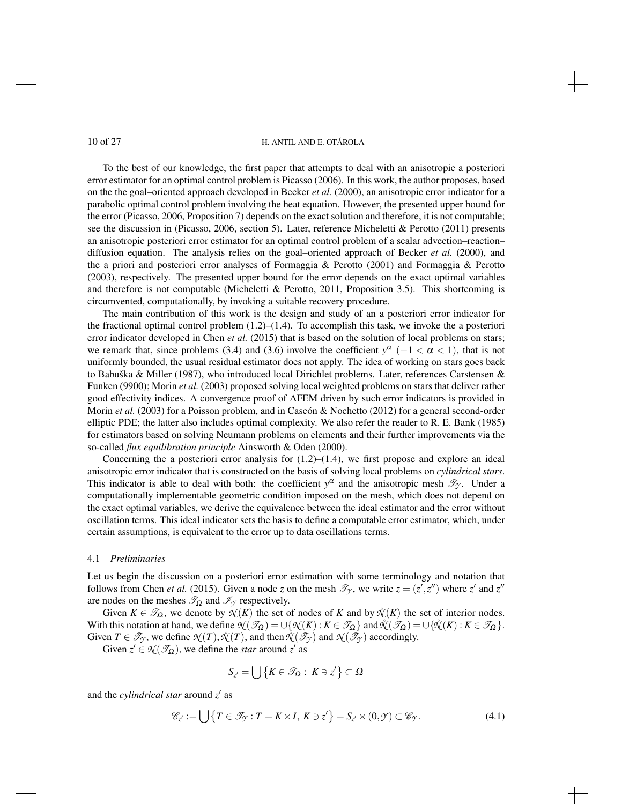To the best of our knowledge, the first paper that attempts to deal with an anisotropic a posteriori error estimator for an optimal control problem is Picasso (2006). In this work, the author proposes, based on the the goal–oriented approach developed in Becker *et al.* (2000), an anisotropic error indicator for a parabolic optimal control problem involving the heat equation. However, the presented upper bound for the error (Picasso, 2006, Proposition 7) depends on the exact solution and therefore, it is not computable; see the discussion in (Picasso, 2006, section 5). Later, reference Micheletti & Perotto (2011) presents an anisotropic posteriori error estimator for an optimal control problem of a scalar advection–reaction– diffusion equation. The analysis relies on the goal–oriented approach of Becker *et al.* (2000), and the a priori and posteriori error analyses of Formaggia & Perotto (2001) and Formaggia & Perotto (2003), respectively. The presented upper bound for the error depends on the exact optimal variables and therefore is not computable (Micheletti & Perotto, 2011, Proposition 3.5). This shortcoming is circumvented, computationally, by invoking a suitable recovery procedure.

The main contribution of this work is the design and study of an a posteriori error indicator for the fractional optimal control problem  $(1.2)$ – $(1.4)$ . To accomplish this task, we invoke the a posteriori error indicator developed in Chen *et al.* (2015) that is based on the solution of local problems on stars; we remark that, since problems (3.4) and (3.6) involve the coefficient  $y^{\alpha}$  (-1 <  $\alpha$  < 1), that is not uniformly bounded, the usual residual estimator does not apply. The idea of working on stars goes back to Babuška & Miller (1987), who introduced local Dirichlet problems. Later, references Carstensen & Funken (9900); Morin *et al.* (2003) proposed solving local weighted problems on stars that deliver rather good effectivity indices. A convergence proof of AFEM driven by such error indicators is provided in Morin *et al.* (2003) for a Poisson problem, and in Cascón & Nochetto (2012) for a general second-order elliptic PDE; the latter also includes optimal complexity. We also refer the reader to R. E. Bank (1985) for estimators based on solving Neumann problems on elements and their further improvements via the so-called *flux equilibration principle* Ainsworth & Oden (2000).

Concerning the a posteriori error analysis for  $(1.2)$ – $(1.4)$ , we first propose and explore an ideal anisotropic error indicator that is constructed on the basis of solving local problems on *cylindrical stars*. This indicator is able to deal with both: the coefficient  $y^{\alpha}$  and the anisotropic mesh  $\mathcal{T}_{\gamma}$ . Under a computationally implementable geometric condition imposed on the mesh, which does not depend on the exact optimal variables, we derive the equivalence between the ideal estimator and the error without oscillation terms. This ideal indicator sets the basis to define a computable error estimator, which, under certain assumptions, is equivalent to the error up to data oscillations terms.

### 4.1 *Preliminaries*

Let us begin the discussion on a posteriori error estimation with some terminology and notation that follows from Chen *et al.* (2015). Given a node *z* on the mesh  $\mathcal{T}_{\gamma}$ , we write  $z = (z', z'')$  where *z'* and *z''* are nodes on the meshes  $\mathcal{T}_{\Omega}$  and  $\mathcal{I}_{\gamma}$  respectively.

Given  $K \in \mathcal{T}_{\Omega}$ , we denote by  $\mathcal{N}(K)$  the set of nodes of *K* and by  $\mathcal{N}(K)$  the set of interior nodes. With this notation at hand, we define  $\mathcal{N}(\mathcal{I}_{\Omega}) = \cup \{ \mathcal{N}(K) : K \in \mathcal{I}_{\Omega} \}$  and  $\mathcal{N}(\mathcal{I}_{\Omega}) = \cup \{ \mathcal{N}(K) : K \in \mathcal{I}_{\Omega} \}$ . Given  $T \in \mathcal{T}_{\gamma}$ , we define  $\mathcal{N}(T)$ ,  $\mathcal{N}(T)$ , and then  $\mathcal{N}(\mathcal{I}_{\gamma})$  and  $\mathcal{N}(\mathcal{I}_{\gamma})$  accordingly.

Given  $z' \in \mathcal{N}(\mathcal{T}_{\Omega})$ , we define the *star* around  $z'$  as

$$
S_{z'} = \bigcup \{ K \in \mathscr{T}_{\Omega} : K \ni z' \} \subset \Omega
$$

and the *cylindrical star* around *z'* as

$$
\mathscr{C}_{z'} := \bigcup \{ T \in \mathcal{I}_{\mathcal{Y}} : T = K \times I, K \ni z' \} = S_{z'} \times (0, \mathcal{Y}) \subset \mathscr{C}_{\mathcal{Y}}.
$$
\n
$$
(4.1)
$$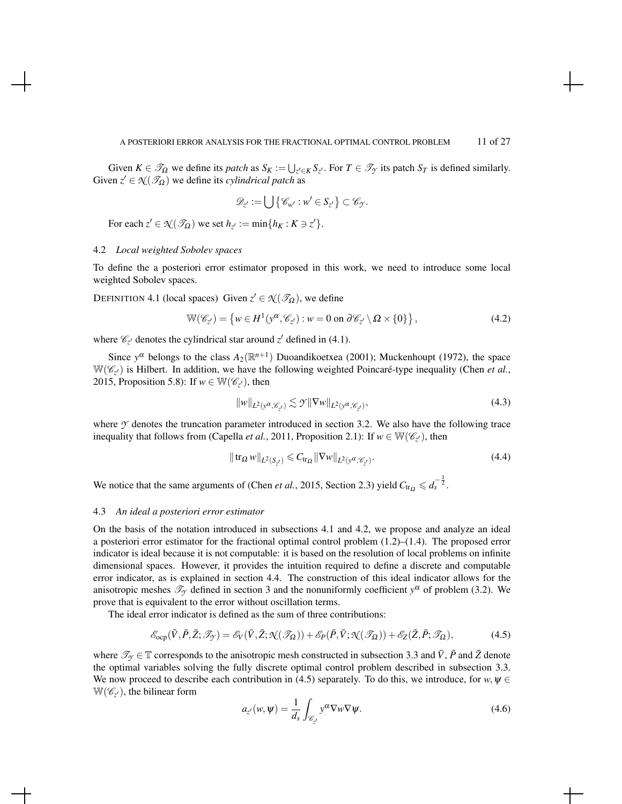Given  $K \in \mathcal{T}_{\Omega}$  we define its *patch* as  $S_K := \bigcup_{z' \in K} S_{z'}$ . For  $T \in \mathcal{T}_{\gamma}$  its patch  $S_T$  is defined similarly. Given  $z' \in \mathcal{N}(\mathcal{I}_{\Omega})$  we define its *cylindrical patch* as

$$
\mathscr{D}_{z'} := \bigcup \{ \mathscr{C}_{w'} : w' \in S_{z'} \} \subset \mathscr{C}_{\mathcal{Y}}.
$$

For each  $z' \in \mathcal{K}(\mathcal{I}_{\Omega})$  we set  $h_{z'} := \min\{h_K : K \ni z'\}.$ 

# 4.2 *Local weighted Sobolev spaces*

To define the a posteriori error estimator proposed in this work, we need to introduce some local weighted Sobolev spaces.

DEFINITION 4.1 (local spaces) Given  $z' \in \mathcal{N}(\mathcal{I}_{\Omega})$ , we define

$$
\mathbb{W}(\mathscr{C}_{z'}) = \left\{ w \in H^1(\mathbf{y}^\alpha, \mathscr{C}_{z'}) : w = 0 \text{ on } \partial \mathscr{C}_{z'} \setminus \Omega \times \{0\} \right\},\tag{4.2}
$$

where  $\mathcal{C}_{z'}$  denotes the cylindrical star around  $z'$  defined in (4.1).

Since  $y^{\alpha}$  belongs to the class  $A_2(\mathbb{R}^{n+1})$  Duoandikoetxea (2001); Muckenhoupt (1972), the space  $W(\mathscr{C}_{z'})$  is Hilbert. In addition, we have the following weighted Poincaré-type inequality (Chen *et al.*, 2015, Proposition 5.8): If  $w \in \mathbb{W}(\mathscr{C}_{z'})$ , then

$$
||w||_{L^{2}(y^{\alpha}, \mathscr{C}_{z'})} \lesssim \mathcal{Y}||\nabla w||_{L^{2}(y^{\alpha}, \mathscr{C}_{z'})},
$$
\n(4.3)

where  $\gamma$  denotes the truncation parameter introduced in section 3.2. We also have the following trace inequality that follows from (Capella *et al.*, 2011, Proposition 2.1): If  $w \in \mathbb{W}(\mathscr{C}_{z'})$ , then

$$
\|\operatorname{tr}_{\Omega} w\|_{L^2(S_{z'})} \leq C_{\operatorname{tr}_{\Omega}} \|\nabla w\|_{L^2(y^{\alpha}, \mathscr{C}_{z'})}.
$$
\n(4.4)

We notice that the same arguments of (Chen *et al.*, 2015, Section 2.3) yield  $C_{tr_Q} \leq d_s^{-\frac{1}{2}}$ .

### 4.3 *An ideal a posteriori error estimator*

On the basis of the notation introduced in subsections 4.1 and 4.2, we propose and analyze an ideal a posteriori error estimator for the fractional optimal control problem (1.2)–(1.4). The proposed error indicator is ideal because it is not computable: it is based on the resolution of local problems on infinite dimensional spaces. However, it provides the intuition required to define a discrete and computable error indicator, as is explained in section 4.4. The construction of this ideal indicator allows for the anisotropic meshes  $\mathcal{T}_{\gamma}$  defined in section 3 and the nonuniformly coefficient  $y^{\alpha}$  of problem (3.2). We prove that is equivalent to the error without oscillation terms.

The ideal error indicator is defined as the sum of three contributions:

$$
\mathcal{E}_{\text{ocp}}(\bar{V}, \bar{P}, \bar{Z}; \mathcal{I}_{\mathcal{J}}) = \mathcal{E}_{V}(\bar{V}, \bar{Z}; \mathcal{N}(\mathcal{I}_{\Omega})) + \mathcal{E}_{P}(\bar{P}, \bar{V}; \mathcal{N}(\mathcal{I}_{\Omega})) + \mathcal{E}_{Z}(\bar{Z}, \bar{P}; \mathcal{I}_{\Omega}), \tag{4.5}
$$

where  $\mathcal{T}_{\gamma} \in \mathbb{T}$  corresponds to the anisotropic mesh constructed in subsection 3.3 and  $\bar{V}$ ,  $\bar{P}$  and  $\bar{Z}$  denote the optimal variables solving the fully discrete optimal control problem described in subsection 3.3. We now proceed to describe each contribution in (4.5) separately. To do this, we introduce, for  $w, \psi \in$  $W(\mathscr{C}_{z'})$ , the bilinear form

$$
a_{z'}(w,\boldsymbol{\psi}) = \frac{1}{d_s} \int_{\mathscr{C}_{z'}} y^{\alpha} \nabla w \nabla \psi.
$$
 (4.6)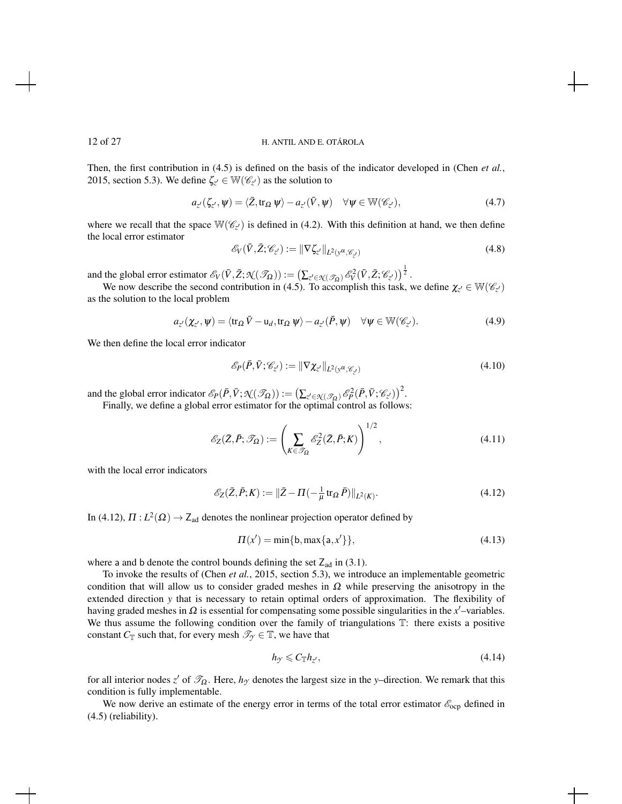Then, the first contribution in (4.5) is defined on the basis of the indicator developed in (Chen *et al.*, 2015, section 5.3). We define  $\zeta_{z'} \in W(\mathscr{C}_{z'})$  as the solution to

$$
a_{z'}(\zeta_{z'}, \psi) = \langle \bar{Z}, \text{tr}_{\Omega} \psi \rangle - a_{z'}(\bar{V}, \psi) \quad \forall \psi \in \mathbb{W}(\mathscr{C}_{z'}), \tag{4.7}
$$

where we recall that the space  $\mathbb{W}(\mathscr{C}_{z'})$  is defined in (4.2). With this definition at hand, we then define the local error estimator

$$
\mathscr{E}_V(\bar{V}, \bar{Z}; \mathscr{C}_{z'}) := \|\nabla \zeta_{z'}\|_{L^2(\mathbf{y}^\alpha, \mathscr{C}_{z'})}\tag{4.8}
$$

and the global error estimator  $\mathscr{E}_V(\bar{V}, \bar{Z}; \mathcal{N}(\mathscr{T}_\Omega)) := \left(\sum_{z' \in \mathcal{N}(\mathscr{T}_\Omega)} \mathscr{E}_V^2(\bar{V}, \bar{Z}; \mathscr{C}_{z'})\right)^{\frac{1}{2}}$ .

We now describe the second contribution in (4.5). To accomplish this task, we define  $\chi_{z'} \in W(\mathscr{C}_{z'})$ as the solution to the local problem

$$
a_{z'}(\chi_{z'}, \psi) = \langle \text{tr}_{\Omega} \,\overline{V} - \text{u}_d, \text{tr}_{\Omega} \,\psi \rangle - a_{z'}(\overline{P}, \psi) \quad \forall \psi \in \mathbb{W}(\mathscr{C}_{z'}). \tag{4.9}
$$

We then define the local error indicator

$$
\mathscr{E}_P(\bar{P}, \bar{V}; \mathscr{C}_{z'}) := \|\nabla \chi_{z'}\|_{L^2(\mathbf{y}^\alpha, \mathscr{C}_{z'})}\tag{4.10}
$$

and the global error indicator  $\mathscr{E}_P(\bar{P}, \bar{V}; \mathcal{N}(\mathscr{T}_{\Omega})) := \left(\sum_{z' \in \mathcal{N}(\mathscr{T}_{\Omega})} \mathscr{E}_P^2(\bar{P}, \bar{V}; \mathscr{C}_{z'})\right)^2$ . Finally, we define a global error estimator for the optimal control as follows:

 $1/2$ 

$$
\mathcal{E}_Z(\bar{Z}, \bar{P}; \mathcal{I}_\Omega) := \left(\sum_{K \in \mathcal{I}_\Omega} \mathcal{E}_Z^2(\bar{Z}, \bar{P}; K)\right)^{1/2},\tag{4.11}
$$

with the local error indicators

$$
\mathcal{E}_Z(\bar{Z}, \bar{P}; K) := \|\bar{Z} - \Pi(-\frac{1}{\mu} \operatorname{tr}_{\Omega} \bar{P})\|_{L^2(K)}.
$$
\n(4.12)

In (4.12),  $\Pi: L^2(\Omega) \to \mathsf{Z}_{ad}$  denotes the nonlinear projection operator defined by

$$
\Pi(x') = \min\{b, \max\{a, x'\}\},\tag{4.13}
$$

where a and b denote the control bounds defining the set  $Z_{ad}$  in (3.1).

To invoke the results of (Chen *et al.*, 2015, section 5.3), we introduce an implementable geometric condition that will allow us to consider graded meshes in  $\Omega$  while preserving the anisotropy in the extended direction *y* that is necessary to retain optimal orders of approximation. The flexibility of having graded meshes in  $\Omega$  is essential for compensating some possible singularities in the *x*'-variables. We thus assume the following condition over the family of triangulations  $T$ : there exists a positive constant *C*<sub>T</sub> such that, for every mesh  $\mathcal{T}_{\gamma} \in \mathbb{T}$ , we have that

$$
h_{\mathcal{I}} \leqslant C_{\mathbb{T}} h_{z'},\tag{4.14}
$$

for all interior nodes  $z'$  of  $\mathcal{T}_{\Omega}$ . Here,  $h_{\gamma}$  denotes the largest size in the *y*–direction. We remark that this condition is fully implementable.

We now derive an estimate of the energy error in terms of the total error estimator  $\mathscr{E}_{\text{ocp}}$  defined in (4.5) (reliability).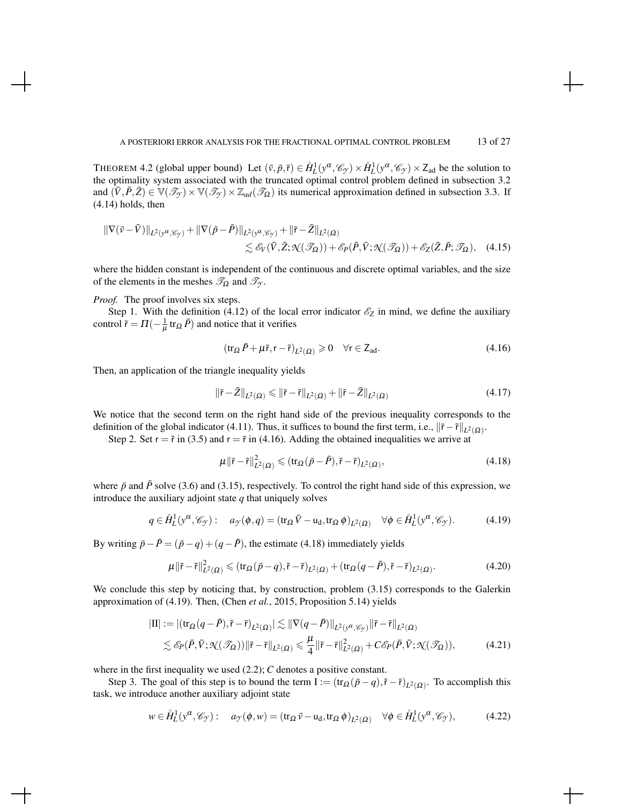THEOREM 4.2 (global upper bound) Let  $(\bar{v}, \bar{p}, \bar{r}) \in \mathring{H}_L^1(y^\alpha, \mathscr{C}_y) \times \mathring{H}_L^1(y^\alpha, \mathscr{C}_y) \times Z_{ad}$  be the solution to the optimality system associated with the truncated optimal control problem defined in subsection 3.2 and  $(\bar{V}, \bar{P}, \bar{Z}) \in \mathbb{V}(\mathscr{T}_{\mathcal{Y}}) \times \mathbb{V}(\mathscr{T}_{\mathcal{Y}}) \times \mathbb{Z}_{ad}(\mathscr{T}_{\Omega})$  its numerical approximation defined in subsection 3.3. If (4.14) holds, then

$$
\|\nabla(\bar{v}-\bar{V})\|_{L^{2}(y^{\alpha},\mathscr{C}_{\mathcal{Y}})}+\|\nabla(\bar{p}-\bar{P})\|_{L^{2}(y^{\alpha},\mathscr{C}_{\mathcal{Y}})}+\|\bar{r}-\bar{Z}\|_{L^{2}(\Omega)}\lesssim \mathscr{E}_{V}(\bar{V},\bar{Z};\mathfrak{N}(\mathscr{T}_{\Omega}))+\mathscr{E}_{P}(\bar{P},\bar{V};\mathfrak{N}(\mathscr{T}_{\Omega}))+\mathscr{E}_{Z}(\bar{Z},\bar{P};\mathscr{T}_{\Omega}),\quad(4.15)
$$

where the hidden constant is independent of the continuous and discrete optimal variables, and the size of the elements in the meshes  $\mathcal{T}_{\Omega}$  and  $\mathcal{T}_{\gamma}$ .

*Proof.* The proof involves six steps.

Step 1. With the definition (4.12) of the local error indicator  $\mathscr{E}_Z$  in mind, we define the auxiliary control  $\tilde{r} = \Pi(-\frac{1}{\mu} \text{tr}_{\Omega} \bar{P})$  and notice that it verifies

$$
(\operatorname{tr}_{\Omega} \bar{P} + \mu \tilde{r}, r - \tilde{r})_{L^2(\Omega)} \geq 0 \quad \forall r \in \mathsf{Z}_{ad}.
$$

Then, an application of the triangle inequality yields

$$
\|\bar{r} - \bar{Z}\|_{L^2(\Omega)} \le \|\bar{r} - \tilde{r}\|_{L^2(\Omega)} + \|\tilde{r} - \bar{Z}\|_{L^2(\Omega)} \tag{4.17}
$$

We notice that the second term on the right hand side of the previous inequality corresponds to the definition of the global indicator (4.11). Thus, it suffices to bound the first term, i.e.,  $\|\bar{r} - \tilde{r}\|_{L^2(\Omega)}$ .

Step 2. Set  $r = \tilde{r}$  in (3.5) and  $r = \tilde{r}$  in (4.16). Adding the obtained inequalities we arrive at

$$
\mu \|\bar{r} - \tilde{r}\|_{L^2(\Omega)}^2 \leq (tr_{\Omega}(\bar{p} - \bar{P}), \tilde{r} - \bar{r})_{L^2(\Omega)},
$$
\n(4.18)

where  $\bar{p}$  and  $\bar{P}$  solve (3.6) and (3.15), respectively. To control the right hand side of this expression, we introduce the auxiliary adjoint state *q* that uniquely solves

$$
q \in \mathring{H}_L^1(\mathbf{y}^\alpha, \mathscr{C}_\mathcal{Y}): \quad a_{\mathcal{Y}}(\phi, q) = (\text{tr}_\Omega \, \bar{V} - \mathbf{u}_d, \text{tr}_\Omega \, \phi)_{L^2(\Omega)} \quad \forall \phi \in \mathring{H}_L^1(\mathbf{y}^\alpha, \mathscr{C}_\mathcal{Y}).\tag{4.19}
$$

By writing  $\bar{p} - \bar{P} = (\bar{p} - q) + (q - \bar{P})$ , the estimate (4.18) immediately yields

$$
\mu \|\bar{\mathbf{r}} - \tilde{\mathbf{r}}\|_{L^2(\Omega)}^2 \leq (\text{tr}_{\Omega}(\bar{p} - q), \tilde{\mathbf{r}} - \bar{\mathbf{r}})_{L^2(\Omega)} + (\text{tr}_{\Omega}(q - \bar{P}), \tilde{\mathbf{r}} - \bar{\mathbf{r}})_{L^2(\Omega)}.
$$
\n(4.20)

We conclude this step by noticing that, by construction, problem (3.15) corresponds to the Galerkin approximation of (4.19). Then, (Chen *et al.*, 2015, Proposition 5.14) yields

$$
|\mathrm{II}| := |(\mathrm{tr}_{\Omega}(q - \bar{P}), \tilde{r} - \bar{r})_{L^{2}(\Omega)}| \lesssim ||\nabla(q - \bar{P})||_{L^{2}(y^{\alpha}, \mathscr{C}_{\mathcal{Y}})} ||\tilde{r} - \bar{r}||_{L^{2}(\Omega)}
$$
  

$$
\lesssim \mathscr{E}_{P}(\bar{P}, \bar{V}; \mathcal{K}(\mathscr{T}_{\Omega})) ||\tilde{r} - \bar{r}||_{L^{2}(\Omega)} \leq \frac{\mu}{4} ||\tilde{r} - \bar{r}||_{L^{2}(\Omega)}^{2} + C\mathscr{E}_{P}(\bar{P}, \bar{V}; \mathcal{K}(\mathscr{T}_{\Omega})), \tag{4.21}
$$

where in the first inequality we used  $(2.2)$ ; *C* denotes a positive constant.

Step 3. The goal of this step is to bound the term  $I := (\text{tr}_{\Omega}(\bar{p} - q), \tilde{r} - \bar{r})_{L^2(\Omega)}$ . To accomplish this task, we introduce another auxiliary adjoint state

$$
w \in \mathring{H}_L^1(y^\alpha, \mathscr{C}_y) : \quad a_{\mathcal{Y}}(\phi, w) = (\text{tr}_\Omega \tilde{v} - \text{u}_d, \text{tr}_\Omega \phi)_{L^2(\Omega)} \quad \forall \phi \in \mathring{H}_L^1(y^\alpha, \mathscr{C}_y), \tag{4.22}
$$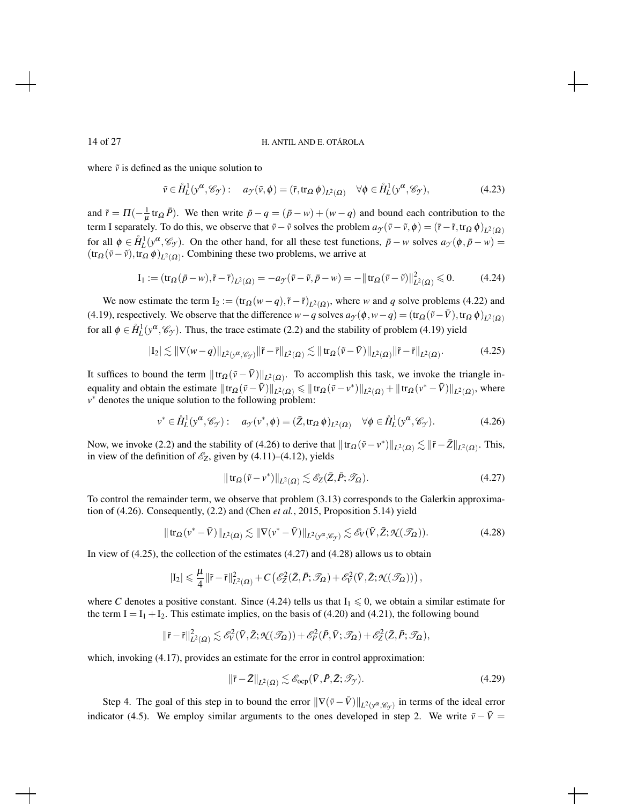where  $\tilde{v}$  is defined as the unique solution to

$$
\tilde{v} \in \mathring{H}_L^1(y^\alpha, \mathscr{C}_y) : \quad a_{\mathcal{Y}}(\tilde{v}, \phi) = (\tilde{r}, \text{tr}_\Omega \phi)_{L^2(\Omega)} \quad \forall \phi \in \mathring{H}_L^1(y^\alpha, \mathscr{C}_y), \tag{4.23}
$$

and  $\tilde{r} = \Pi(-\frac{1}{\mu} \text{tr}_{\Omega} \bar{P})$ . We then write  $\bar{p} - q = (\bar{p} - w) + (w - q)$  and bound each contribution to the term I separately. To do this, we observe that  $\bar{v} - \tilde{v}$  solves the problem  $a_y(\bar{v} - \tilde{v}, \phi) = (\bar{r} - \tilde{r}, \text{tr}_{\Omega} \phi)_{L^2(\Omega)}$ for all  $\phi \in \hat{H}_L^1(y^\alpha, \mathscr{C}_y)$ . On the other hand, for all these test functions,  $\bar{p} - w$  solves  $a_y(\phi, \bar{p} - w) =$  $(tr_{\Omega}(\bar{v}-\tilde{v}), tr_{\Omega} \phi)_{L^2(\Omega)}$ . Combining these two problems, we arrive at

$$
\mathcal{I}_1 := (\operatorname{tr}_{\Omega}(\bar{p} - w), \tilde{r} - \bar{r})_{L^2(\Omega)} = -a_{\mathcal{F}}(\bar{v} - \tilde{v}, \bar{p} - w) = -\|\operatorname{tr}_{\Omega}(\bar{v} - \tilde{v})\|_{L^2(\Omega)}^2 \leq 0. \tag{4.24}
$$

We now estimate the term  $I_2 := (\text{tr}_{\Omega}(w-q), \tilde{r} - \tilde{r})_{L^2(\Omega)}$ , where *w* and *q* solve problems (4.22) and (4.19), respectively. We observe that the difference  $w-q$  solves  $a_y(\phi, w-q) = (\text{tr}_{\Omega}(\tilde{v} - \bar{V}), \text{tr}_{\Omega} \phi)_{L^2(\Omega)}$ for all  $\phi \in \mathring{H}^1_L(y^\alpha, \mathscr{C}_y)$ . Thus, the trace estimate (2.2) and the stability of problem (4.19) yield

$$
|I_2| \lesssim \|\nabla(w-q)\|_{L^2(\mathcal{Y}^{\alpha},\mathcal{C}_{\mathcal{Y}})} \|\tilde{r}-\bar{r}\|_{L^2(\Omega)} \lesssim \|tr_{\Omega}(\tilde{v}-\bar{V})\|_{L^2(\Omega)} \|\tilde{r}-\bar{r}\|_{L^2(\Omega)}.
$$
 (4.25)

It suffices to bound the term  $|| tr_\Omega (\tilde{v} - \bar{V}) ||_{L^2(\Omega)}$ . To accomplish this task, we invoke the triangle inequality and obtain the estimate  $\|\text{tr}_{\Omega}(\tilde{v} - \bar{V})\|_{L^2(\Omega)} \leq \|\text{tr}_{\Omega}(\tilde{v} - v^*)\|_{L^2(\Omega)} + \|\text{tr}_{\Omega}(v^* - \bar{V})\|_{L^2(\Omega)}$ , where *v*<sup>∗</sup> denotes the unique solution to the following problem:

$$
v^* \in \mathring{H}_L^1(v^\alpha, \mathscr{C}_\mathcal{Y}): \quad a_\mathcal{Y}(v^*, \phi) = (\bar{Z}, \text{tr}_\Omega \phi)_{L^2(\Omega)} \quad \forall \phi \in \mathring{H}_L^1(v^\alpha, \mathscr{C}_\mathcal{Y}).\tag{4.26}
$$

Now, we invoke (2.2) and the stability of (4.26) to derive that  $|| \text{tr}_{\Omega} (\tilde{v} - v^*) ||_{L^2(\Omega)} \lesssim ||\tilde{r} - \bar{Z}||_{L^2(\Omega)}$ . This, in view of the definition of  $\mathscr{E}_Z$ , given by (4.11)–(4.12), yields

$$
\|\operatorname{tr}_{\Omega}(\tilde{v} - v^*)\|_{L^2(\Omega)} \lesssim \mathscr{E}_{Z}(\bar{Z}, \bar{P}; \mathscr{T}_{\Omega}).\tag{4.27}
$$

To control the remainder term, we observe that problem (3.13) corresponds to the Galerkin approximation of (4.26). Consequently, (2.2) and (Chen *et al.*, 2015, Proposition 5.14) yield

$$
\|\operatorname{tr}_{\Omega}(v^* - \bar{V})\|_{L^2(\Omega)} \lesssim \|\nabla(v^* - \bar{V})\|_{L^2(v^\alpha, \mathscr{C}_\mathcal{Y})} \lesssim \mathscr{E}_V(\bar{V}, \bar{Z}; \mathfrak{N}(\mathscr{T}_\Omega)).\tag{4.28}
$$

In view of (4.25), the collection of the estimates (4.27) and (4.28) allows us to obtain

$$
|I_2|\leqslant \frac{\mu}{4}\|\tilde{r}-\bar{r}\|_{L^2(\Omega)}^2+C\left(\mathscr{E}_Z^2(\bar{Z},\bar{P};\mathscr{T}_\Omega)+\mathscr{E}_V^2(\bar{V},\bar{Z};\mathfrak{K}(\mathscr{T}_\Omega))\right),
$$

where *C* denotes a positive constant. Since (4.24) tells us that  $I_1 \leq 0$ , we obtain a similar estimate for the term  $I = I_1 + I_2$ . This estimate implies, on the basis of (4.20) and (4.21), the following bound

$$
\|\bar{\mathbf{r}}-\tilde{\mathbf{r}}\|_{L^2(\Omega)}^2 \lesssim \mathscr{E}_{V}^2(\bar{V}, \bar{Z}; \mathcal{N}(\mathscr{T}_{\Omega})) + \mathscr{E}_{P}^2(\bar{P}, \bar{V}; \mathscr{T}_{\Omega}) + \mathscr{E}_{Z}^2(\bar{Z}, \bar{P}; \mathscr{T}_{\Omega}),
$$

which, invoking  $(4.17)$ , provides an estimate for the error in control approximation:

$$
\|\bar{\mathbf{r}} - \bar{Z}\|_{L^2(\Omega)} \lesssim \mathscr{E}_{\text{ocp}}(\bar{V}, \bar{P}, \bar{Z}; \mathscr{T}_{\gamma}).\tag{4.29}
$$

Step 4. The goal of this step in to bound the error  $\|\nabla(\bar{v}-\bar{V})\|_{L^2(y^\alpha, \mathscr{C}_{\mathcal{Y}})}$  in terms of the ideal error indicator (4.5). We employ similar arguments to the ones developed in step 2. We write  $\bar{v} - \bar{V} =$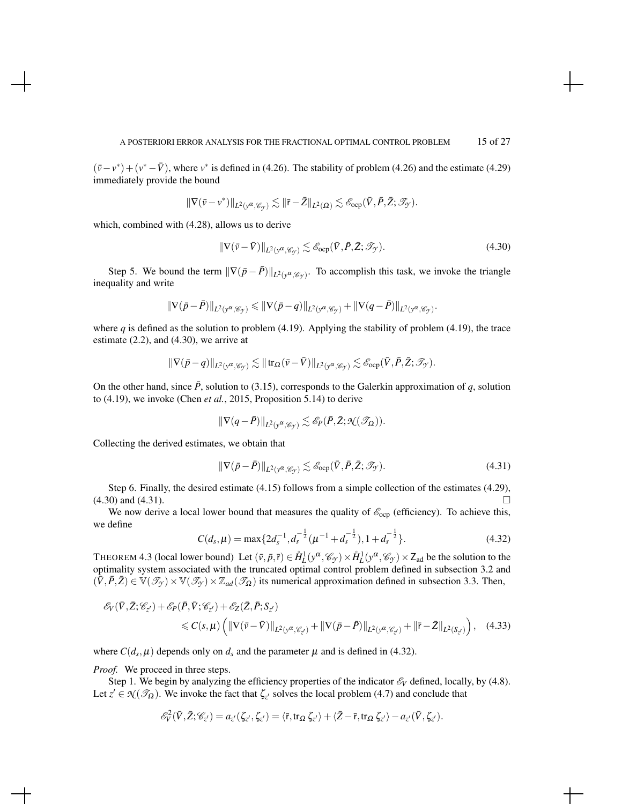$(\bar{v}-v^*) + (v^*-\bar{V})$ , where  $v^*$  is defined in (4.26). The stability of problem (4.26) and the estimate (4.29) immediately provide the bound

$$
\|\nabla (\bar{v}-v^*)\|_{L^2(y^\alpha, \mathscr C_{\mathcal Y})} \lesssim \|\bar{r}-\bar{Z}\|_{L^2(\Omega)} \lesssim \mathscr{E}_{\rm ocp}(\bar{V}, \bar{P}, \bar{Z}; \mathscr T_{\mathcal Y}).
$$

which, combined with (4.28), allows us to derive

$$
\|\nabla(\bar{v} - \bar{V})\|_{L^2(\mathbf{y}^{\alpha}, \mathscr{C}_{\mathcal{Y}})} \lesssim \mathscr{E}_{\text{ocp}}(\bar{V}, \bar{P}, \bar{Z}; \mathscr{T}_{\mathcal{Y}}). \tag{4.30}
$$

Step 5. We bound the term  $\|\nabla(\bar{p} - \bar{P})\|_{L^2(y^\alpha, \mathscr{C}_{\gamma})}$ . To accomplish this task, we invoke the triangle inequality and write

$$
\|\nabla(\bar{p}-\bar{P})\|_{L^2(y^\alpha,\mathscr{C}_{\mathcal{Y}})}\leqslant \|\nabla(\bar{p}-q)\|_{L^2(y^\alpha,\mathscr{C}_{\mathcal{Y}})}+\|\nabla(q-\bar{P})\|_{L^2(y^\alpha,\mathscr{C}_{\mathcal{Y}})}.
$$

where *q* is defined as the solution to problem (4.19). Applying the stability of problem (4.19), the trace estimate (2.2), and (4.30), we arrive at

$$
\|\nabla(\bar{p}-q)\|_{L^2(y^\alpha, \mathscr C_{\mathcal Y})} \lesssim \|\operatorname{tr}_\Omega(\bar{v}-\bar{V})\|_{L^2(y^\alpha, \mathscr C_{\mathcal Y})} \lesssim \mathscr{E}_{\rm ocp}(\bar{V}, \bar{P}, \bar{Z}; \mathscr T_{\mathcal Y}).
$$

On the other hand, since  $\bar{P}$ , solution to (3.15), corresponds to the Galerkin approximation of *q*, solution to (4.19), we invoke (Chen *et al.*, 2015, Proposition 5.14) to derive

$$
\|\nabla (q-\bar{P})\|_{L^2(\mathbf{y}^\alpha,\mathscr{C}_{\mathcal{Y}})}\lesssim \mathscr{E}_P(\bar{P},\bar{Z};\mathcal{K}(\mathscr{T}_\Omega)).
$$

Collecting the derived estimates, we obtain that

$$
\|\nabla(\bar{p} - \bar{P})\|_{L^2(\mathcal{Y}^{\alpha}, \mathscr{C}_{\mathcal{Y}})} \lesssim \mathscr{E}_{\text{ocp}}(\bar{V}, \bar{P}, \bar{Z}; \mathscr{T}_{\mathcal{Y}}). \tag{4.31}
$$

Step 6. Finally, the desired estimate (4.15) follows from a simple collection of the estimates (4.29),  $(4.30)$  and  $(4.31)$ .

We now derive a local lower bound that measures the quality of  $\mathscr{E}_{\text{ocp}}$  (efficiency). To achieve this, we define

$$
C(d_s, \mu) = \max\{2d_s^{-1}, d_s^{-\frac{1}{2}}(\mu^{-1} + d_s^{-\frac{1}{2}}), 1 + d_s^{-\frac{1}{2}}\}.
$$
 (4.32)

THEOREM 4.3 (local lower bound) Let  $(\bar{v}, \bar{p}, \bar{r}) \in \mathring{H}_L^1(y^\alpha, \mathscr{C}_y) \times \mathring{H}_L^1(y^\alpha, \mathscr{C}_y) \times Z_{ad}$  be the solution to the optimality system associated with the truncated optimal control problem defined in subsection 3.2 and  $(\bar{V}, \bar{P}, \bar{Z}) \in \mathbb{V}(\mathcal{I}_{\mathcal{I}}) \times \mathbb{V}(\mathcal{I}_{\mathcal{I}}) \times \mathbb{Z}_{ad}(\mathcal{I}_{\Omega})$  its numerical approximation defined in subsection 3.3. Then,

$$
\mathscr{E}_{V}(\bar{V}, \bar{Z}; \mathscr{C}_{z'}) + \mathscr{E}_{P}(\bar{P}, \bar{V}; \mathscr{C}_{z'}) + \mathscr{E}_{Z}(\bar{Z}, \bar{P}; S_{z'})
$$
  
\$\leq C(s, \mu) \left( \|\nabla(\bar{v} - \bar{V})\|\_{L^{2}(y^{\alpha}, \mathscr{C}\_{z'})} + \|\nabla(\bar{p} - \bar{P})\|\_{L^{2}(y^{\alpha}, \mathscr{C}\_{z'})} + \|\bar{r} - \bar{Z}\|\_{L^{2}(S\_{z'})} \right), \quad (4.33)\$

where  $C(d_s, \mu)$  depends only on  $d_s$  and the parameter  $\mu$  and is defined in (4.32).

*Proof.* We proceed in three steps.

Step 1. We begin by analyzing the efficiency properties of the indicator  $\mathscr{E}_V$  defined, locally, by (4.8). Let  $z' \in \mathcal{N}(\mathcal{I}_{\Omega})$ . We invoke the fact that  $\zeta_{z'}$  solves the local problem (4.7) and conclude that

$$
\mathscr{E}^2_V(\bar{V},\bar{Z};\mathscr{C}_{z'})=a_{z'}(\zeta_{z'},\zeta_{z'})=\langle \bar{r},\operatorname{tr}_\Omega\zeta_{z'}\rangle+\langle \bar{Z}-\bar{r},\operatorname{tr}_\Omega\zeta_{z'}\rangle-a_{z'}(\bar{V},\zeta_{z'}).
$$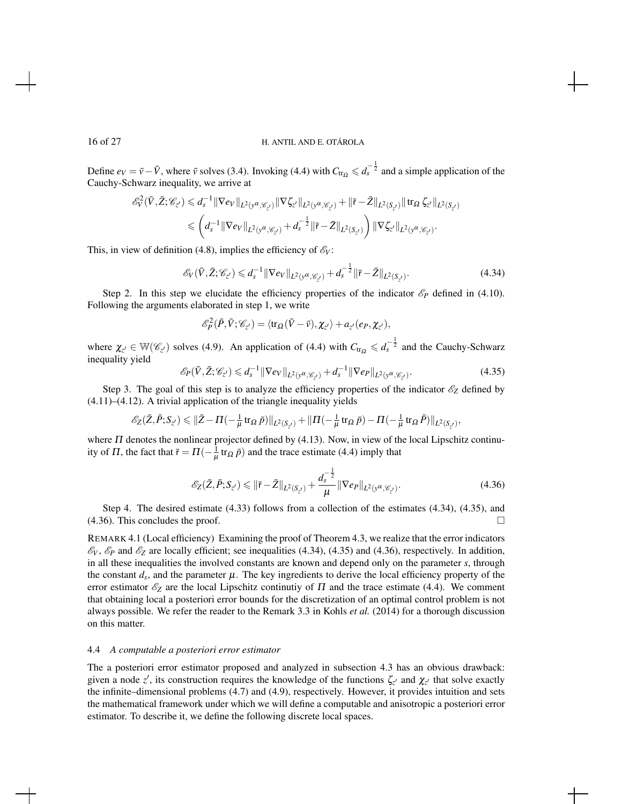Define  $e_V = \bar{v} - \bar{V}$ , where  $\bar{v}$  solves (3.4). Invoking (4.4) with  $C_{tr_\Omega} \leq d_s^{-\frac{1}{2}}$  and a simple application of the Cauchy-Schwarz inequality, we arrive at

$$
\begin{split} \mathscr{E}^2_V(\bar{V},\bar{Z};\mathscr{C}_{z'}) \leqslant d_s^{-1}\|\nabla e_V\|_{L^2(\mathbf{y}^\alpha,\mathscr{C}_{z'})}\|\nabla \zeta_{z'}\|_{L^2(\mathbf{y}^\alpha,\mathscr{C}_{z'})} + \|\bar{\mathbf{r}}-\bar{Z}\|_{L^2(\mathbf{S}_{z'})}\|\operatorname{tr}_\Omega\zeta_{z'}\|_{L^2(\mathbf{S}_{z'})}\\ \leqslant \left(d_s^{-1}\|\nabla e_V\|_{L^2(\mathbf{y}^\alpha,\mathscr{C}_{z'})} + d_s^{-\frac{1}{2}}\|\bar{\mathbf{r}}-\bar{Z}\|_{L^2(\mathbf{S}_{z'})}\right)\|\nabla \zeta_{z'}\|_{L^2(\mathbf{y}^\alpha,\mathscr{C}_{z'})}. \end{split}
$$

This, in view of definition (4.8), implies the efficiency of  $\mathscr{E}_V$ :

$$
\mathscr{E}_{V}(\bar{V}, \bar{Z}; \mathscr{C}_{z'}) \leq d_{s}^{-1} \|\nabla e_{V}\|_{L^{2}(y^{\alpha}, \mathscr{C}_{z'})} + d_{s}^{-\frac{1}{2}} \|\bar{r} - \bar{Z}\|_{L^{2}(S_{z'})}.
$$
\n(4.34)

Step 2. In this step we elucidate the efficiency properties of the indicator  $\mathscr{E}_P$  defined in (4.10). Following the arguments elaborated in step 1, we write

$$
\mathscr{E}_{P}^{2}(\bar{P},\bar{V};\mathscr{C}_{z'})=\langle\text{tr}_{\Omega}(\bar{V}-\bar{v}),\chi_{z'}\rangle+a_{z'}(e_{P},\chi_{z'}),
$$

where  $\chi_{z'} \in \mathbb{W}(\mathscr{C}_{z'})$  solves (4.9). An application of (4.4) with  $C_{tr_\Omega} \leqslant d_s^{-\frac{1}{2}}$  and the Cauchy-Schwarz inequality yield

$$
\mathcal{E}_P(\bar{V}, \bar{Z}; \mathscr{C}_{z'}) \le d_s^{-1} \|\nabla e_V\|_{L^2(\mathcal{V}^{\alpha}, \mathscr{C}_{z'})} + d_s^{-1} \|\nabla e_P\|_{L^2(\mathcal{V}^{\alpha}, \mathscr{C}_{z'})}.
$$
\n(4.35)

Step 3. The goal of this step is to analyze the efficiency properties of the indicator  $\mathscr{E}_Z$  defined by (4.11)–(4.12). A trivial application of the triangle inequality yields

$$
\mathscr{E}_{Z}(\bar{Z}, \bar{P}; S_{z'}) \leq \|\bar{Z} - \Pi(-\frac{1}{\mu} \operatorname{tr}_{\Omega} \bar{p})\|_{L^{2}(S_{z'})} + \|\Pi(-\frac{1}{\mu} \operatorname{tr}_{\Omega} \bar{p}) - \Pi(-\frac{1}{\mu} \operatorname{tr}_{\Omega} \bar{P})\|_{L^{2}(S_{z'})},
$$

where  $\Pi$  denotes the nonlinear projector defined by (4.13). Now, in view of the local Lipschitz continuity of  $\Pi$ , the fact that  $\bar{r} = \Pi(-\frac{1}{\mu} \text{tr}_{\Omega} \bar{p})$  and the trace estimate (4.4) imply that

$$
\mathcal{E}_Z(\bar{Z}, \bar{P}; S_{z'}) \le ||\bar{r} - \bar{Z}||_{L^2(S_{z'})} + \frac{d_s^{-\frac{1}{2}}}{\mu} ||\nabla e_P||_{L^2(\mathcal{Y}^{\alpha}; \mathcal{C}_{z'})}.
$$
\n(4.36)

Step 4. The desired estimate (4.33) follows from a collection of the estimates (4.34), (4.35), and  $(4.36)$ . This concludes the proof.

REMARK 4.1 (Local efficiency) Examining the proof of Theorem 4.3, we realize that the error indicators  $\mathscr{E}_V$ ,  $\mathscr{E}_P$  and  $\mathscr{E}_Z$  are locally efficient; see inequalities (4.34), (4.35) and (4.36), respectively. In addition, in all these inequalities the involved constants are known and depend only on the parameter *s*, through the constant  $d_s$ , and the parameter  $\mu$ . The key ingredients to derive the local efficiency property of the error estimator  $\mathscr{E}_Z$  are the local Lipschitz continutiy of  $\Pi$  and the trace estimate (4.4). We comment that obtaining local a posteriori error bounds for the discretization of an optimal control problem is not always possible. We refer the reader to the Remark 3.3 in Kohls *et al.* (2014) for a thorough discussion on this matter.

### 4.4 *A computable a posteriori error estimator*

The a posteriori error estimator proposed and analyzed in subsection 4.3 has an obvious drawback: given a node *z'*, its construction requires the knowledge of the functions  $\zeta_{z'}$  and  $\chi_{z'}$  that solve exactly the infinite–dimensional problems (4.7) and (4.9), respectively. However, it provides intuition and sets the mathematical framework under which we will define a computable and anisotropic a posteriori error estimator. To describe it, we define the following discrete local spaces.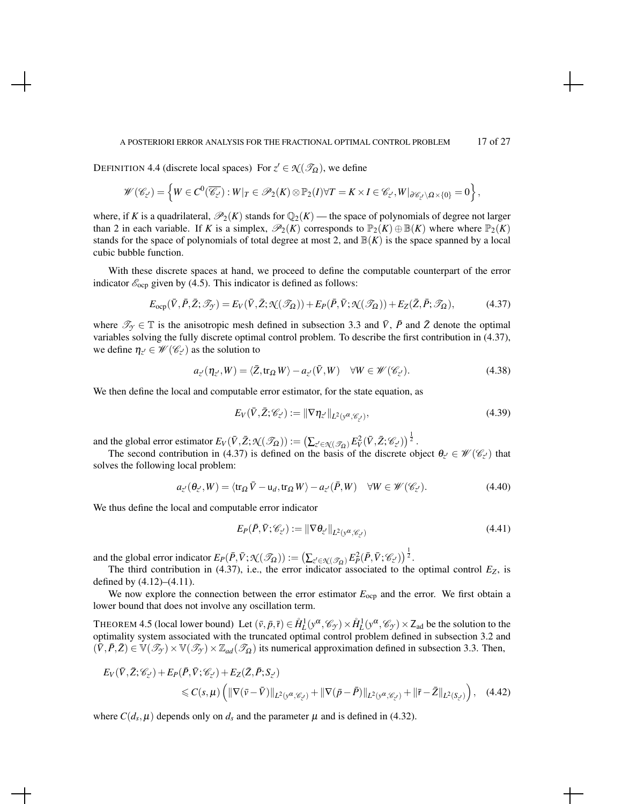#### A POSTERIORI ERROR ANALYSIS FOR THE FRACTIONAL OPTIMAL CONTROL PROBLEM 17 of 27

DEFINITION 4.4 (discrete local spaces) For  $z' \in \mathcal{N}(\mathcal{S}_{\Omega})$ , we define

$$
\mathscr{W}(\mathscr{C}_{z'}) = \left\{ W \in C^0(\overline{\mathscr{C}_{z'}}) : W|_T \in \mathscr{P}_2(K) \otimes \mathbb{P}_2(I) \forall T = K \times I \in \mathscr{C}_{z'}, W|_{\partial \mathscr{C}_{z'} \setminus \Omega \times \{0\}} = 0 \right\},\
$$

where, if *K* is a quadrilateral,  $\mathcal{P}_2(K)$  stands for  $\mathbb{Q}_2(K)$  — the space of polynomials of degree not larger than 2 in each variable. If *K* is a simplex,  $\mathcal{P}_2(K)$  corresponds to  $\mathbb{P}_2(K) \oplus \mathbb{B}(K)$  where where  $\mathbb{P}_2(K)$ stands for the space of polynomials of total degree at most 2, and  $\mathbb{B}(K)$  is the space spanned by a local cubic bubble function.

With these discrete spaces at hand, we proceed to define the computable counterpart of the error indicator  $\mathcal{E}_{\text{ocp}}$  given by (4.5). This indicator is defined as follows:

$$
E_{\text{ocp}}(\bar{V}, \bar{P}, \bar{Z}; \mathscr{T}_{\mathcal{Y}}) = E_V(\bar{V}, \bar{Z}; \mathcal{N}(\mathscr{T}_{\Omega})) + E_P(\bar{P}, \bar{V}; \mathcal{N}(\mathscr{T}_{\Omega})) + E_Z(\bar{Z}, \bar{P}; \mathscr{T}_{\Omega}), \tag{4.37}
$$

where  $\mathcal{T}_{\gamma} \in \mathbb{T}$  is the anisotropic mesh defined in subsection 3.3 and  $\bar{V}$ ,  $\bar{P}$  and  $\bar{Z}$  denote the optimal variables solving the fully discrete optimal control problem. To describe the first contribution in (4.37), we define  $\eta_{z'} \in \mathcal{W}(\mathcal{C}_{z'})$  as the solution to

$$
a_{z'}(\eta_{z'}, W) = \langle \bar{Z}, \text{tr}_{\Omega} W \rangle - a_{z'}(\bar{V}, W) \quad \forall W \in \mathcal{W}(\mathcal{C}_{z'}).
$$
 (4.38)

We then define the local and computable error estimator, for the state equation, as

$$
E_V(\bar{V}, \bar{Z}; \mathscr{C}_{z'}) := \|\nabla \eta_{z'}\|_{L^2(\mathbf{y}^{\alpha}, \mathscr{C}_{z'})},\tag{4.39}
$$

and the global error estimator  $E_V(\bar{V}, \bar{Z}; \mathcal{K}(\mathcal{I}_{\Omega})) := \left(\sum_{z' \in \mathcal{K}(\mathcal{I}_{\Omega})} E_V^2(\bar{V}, \bar{Z}; \mathcal{C}_{z'})\right)^{\frac{1}{2}}$ .

The second contribution in (4.37) is defined on the basis of the discrete object  $\theta_{z'} \in \mathcal{W}(\mathcal{C}_{z'})$  that solves the following local problem:

$$
a_{z'}(\theta_{z'}, W) = \langle \text{tr}_{\Omega} \,\overline{V} - \mathsf{u}_d, \text{tr}_{\Omega} \, W \rangle - a_{z'}(\overline{P}, W) \quad \forall W \in \mathscr{W}(\mathscr{C}_{z'}). \tag{4.40}
$$

We thus define the local and computable error indicator

$$
E_P(\bar{P}, \bar{V}; \mathscr{C}_{z'}) := \|\nabla \theta_{z'}\|_{L^2(\mathbf{y}^{\alpha}, \mathscr{C}_{z'})}
$$
(4.41)

and the global error indicator  $E_P(\bar{P}, \bar{V}; \mathcal{K}(\mathcal{I}_{\Omega})) := \left(\sum_{z' \in \mathcal{K}(\mathcal{I}_{\Omega})} E_P^2(\bar{P}, \bar{V}; \mathcal{C}_{z'})\right)^{\frac{1}{2}}$ .

The third contribution in (4.37), i.e., the error indicator associated to the optimal control  $E_Z$ , is defined by (4.12)–(4.11).

We now explore the connection between the error estimator  $E_{\text{ocp}}$  and the error. We first obtain a lower bound that does not involve any oscillation term.

THEOREM 4.5 (local lower bound) Let  $(\bar{v}, \bar{p}, \bar{r}) \in \mathring{H}_L^1(y^\alpha, \mathscr{C}_y) \times \mathring{H}_L^1(y^\alpha, \mathscr{C}_y) \times Z_{ad}$  be the solution to the optimality system associated with the truncated optimal control problem defined in subsection 3.2 and  $(\bar{V}, \bar{P}, \bar{Z}) \in \mathbb{V}(\mathcal{I}_{\mathcal{I}}) \times \mathbb{V}(\mathcal{I}_{\mathcal{I}}) \times \mathbb{Z}_{ad}(\mathcal{I}_{\Omega})$  its numerical approximation defined in subsection 3.3. Then,

$$
E_V(\bar{V}, \bar{Z}; \mathscr{C}_{z'}) + E_P(\bar{P}, \bar{V}; \mathscr{C}_{z'}) + E_Z(\bar{Z}, \bar{P}; S_{z'})
$$
  
\$\leq C(s, \mu) \left( \|\nabla(\bar{v} - \bar{V})\|\_{L^2(\mathcal{Y}^\alpha; \mathscr{C}\_{z'})} + \|\nabla(\bar{p} - \bar{P})\|\_{L^2(\mathcal{Y}^\alpha; \mathscr{C}\_{z'})} + \|\bar{r} - \bar{Z}\|\_{L^2(S\_{z'})} \right), \quad (4.42)\$

where  $C(d_s, \mu)$  depends only on  $d_s$  and the parameter  $\mu$  and is defined in (4.32).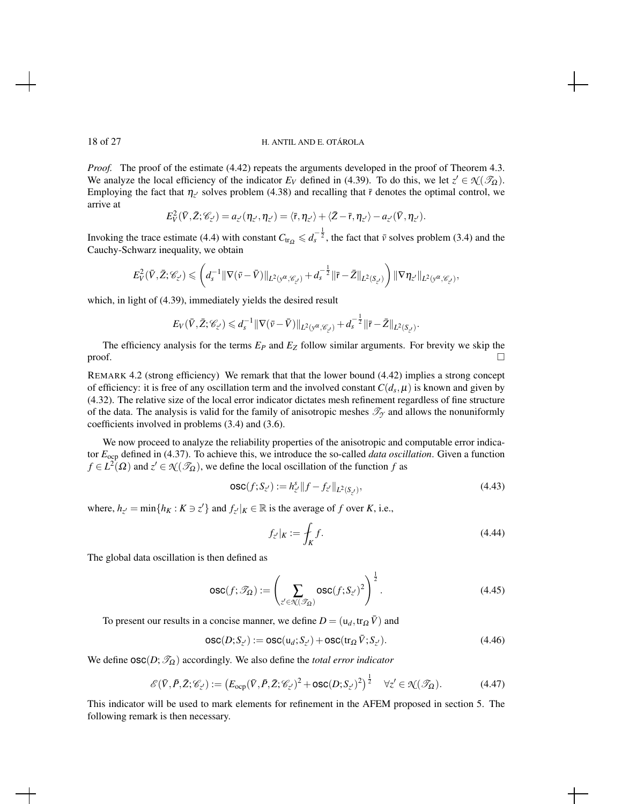*Proof.* The proof of the estimate (4.42) repeats the arguments developed in the proof of Theorem 4.3. We analyze the local efficiency of the indicator  $E_V$  defined in (4.39). To do this, we let  $z' \in \mathcal{N}(\mathcal{I}_\Omega)$ . Employing the fact that  $\eta_{z'}$  solves problem (4.38) and recalling that  $\bar{r}$  denotes the optimal control, we arrive at

$$
E_V^2(\bar{V},\bar{Z};\mathscr{C}_{z'})=a_{z'}(\eta_{z'},\eta_{z'})=\langle \bar{r},\eta_{z'}\rangle+\langle \bar{Z}-\bar{r},\eta_{z'}\rangle-a_{z'}(\bar{V},\eta_{z'}).
$$

Invoking the trace estimate (4.4) with constant  $C_{tr_\Omega} \leq d_s^{-\frac{1}{2}}$ , the fact that  $\bar{v}$  solves problem (3.4) and the Cauchy-Schwarz inequality, we obtain

$$
E^2_{V}(\bar{V},\bar{Z};\mathscr{C}_{z'})\leqslant \left(d_s^{-1}\|\nabla (\bar{v}-\bar{V})\|_{L^2(\mathbf{y}^\alpha,\mathscr{C}_{z'})}+d_s^{-\frac{1}{2}}\|\bar{r}-\bar{Z}\|_{L^2(S_{z'})}\right)\|\nabla \eta_{z'}\|_{L^2(\mathbf{y}^\alpha,\mathscr{C}_{z'})},
$$

which, in light of (4.39), immediately yields the desired result

$$
E_V(\bar{V}, \bar{Z}; \mathscr{C}_{Z'}) \leq d_s^{-1} \|\nabla (\bar{v} - \bar{V})\|_{L^2(y^{\alpha}, \mathscr{C}_{Z'})} + d_s^{-\frac{1}{2}} \|\bar{r} - \bar{Z}\|_{L^2(S_{Z'})}.
$$

The efficiency analysis for the terms *E<sup>P</sup>* and *E<sup>Z</sup>* follow similar arguments. For brevity we skip the  $\Box$ 

REMARK 4.2 (strong efficiency) We remark that that the lower bound (4.42) implies a strong concept of efficiency: it is free of any oscillation term and the involved constant  $C(d_s, \mu)$  is known and given by (4.32). The relative size of the local error indicator dictates mesh refinement regardless of fine structure of the data. The analysis is valid for the family of anisotropic meshes  $\mathcal{T}_{\gamma}$  and allows the nonuniformly coefficients involved in problems (3.4) and (3.6).

We now proceed to analyze the reliability properties of the anisotropic and computable error indicator *E*ocp defined in (4.37). To achieve this, we introduce the so-called *data oscillation*. Given a function  $f \in L^2(\Omega)$  and  $z' \in \mathcal{N}(\mathcal{I}_\Omega)$ , we define the local oscillation of the function *f* as

$$
\mathsf{osc}(f; S_{z'}) := h_{z'}^s \| f - f_{z'} \|_{L^2(S_{z'})},\tag{4.43}
$$

where,  $h_{z'} = \min\{h_K : K \ni z'\}$  and  $f_{z'}|_K \in \mathbb{R}$  is the average of *f* over *K*, i.e.,

$$
f_{z'}|_K := \oint_K f. \tag{4.44}
$$

The global data oscillation is then defined as

$$
\text{osc}(f; \mathcal{T}_{\Omega}) := \left(\sum_{z' \in \mathcal{R}(\mathcal{T}_{\Omega})} \text{osc}(f; S_{z'})^2\right)^{\frac{1}{2}}.
$$
\n(4.45)

To present our results in a concise manner, we define  $D = (u_d, tr_{\Omega} \overline{V})$  and

$$
\mathsf{osc}(D; S_{z'}) := \mathsf{osc}(u_d; S_{z'}) + \mathsf{osc}(tr_{\Omega} \bar{V}; S_{z'}).
$$
\n(4.46)

We define  $\text{osc}(D;\mathcal{T}_{\Omega})$  accordingly. We also define the *total error indicator* 

$$
\mathscr{E}(\bar{V}, \bar{P}, \bar{Z}; \mathscr{C}_{z'}) := \left( E_{\text{ocp}}(\bar{V}, \bar{P}, \bar{Z}; \mathscr{C}_{z'})^2 + \text{osc}(D; S_{z'})^2 \right)^{\frac{1}{2}} \quad \forall z' \in \mathcal{K}(\mathscr{T}_{\Omega}). \tag{4.47}
$$

This indicator will be used to mark elements for refinement in the AFEM proposed in section 5. The following remark is then necessary.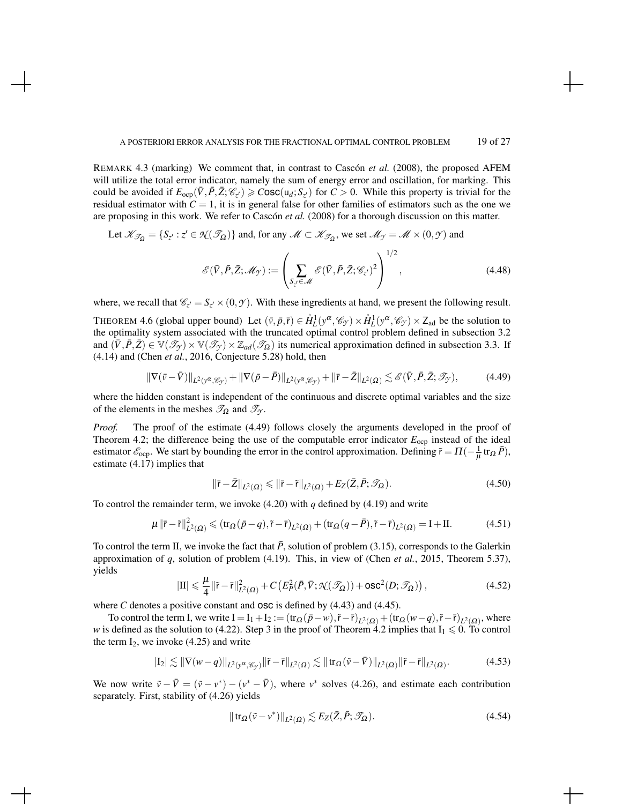REMARK 4.3 (marking) We comment that, in contrast to Cascón *et al.* (2008), the proposed AFEM will utilize the total error indicator, namely the sum of energy error and oscillation, for marking. This could be avoided if  $E_{\text{ocp}}(\bar{V}, \bar{P}, \bar{Z}; \mathcal{C}_{z'}) \geq \text{Cosc}(\mathfrak{u}_d; S_{z'})$  for  $C > 0$ . While this property is trivial for the residual estimator with  $C = 1$ , it is in general false for other families of estimators such as the one we are proposing in this work. We refer to Cascón *et al.* (2008) for a thorough discussion on this matter.

Let 
$$
\mathcal{K}_{\mathcal{J}_{\Omega}} = \{S_{z'} : z' \in \mathcal{N}(\mathcal{J}_{\Omega})\}
$$
 and, for any  $\mathcal{M} \subset \mathcal{K}_{\mathcal{J}_{\Omega}}$ , we set  $\mathcal{M}_{\mathcal{J}} = \mathcal{M} \times (0, \mathcal{J})$  and

$$
\mathscr{E}(\bar{V}, \bar{P}, \bar{Z}; \mathscr{M}_{\mathscr{F}}) := \left( \sum_{S_{z'} \in \mathscr{M}} \mathscr{E}(\bar{V}, \bar{P}, \bar{Z}; \mathscr{C}_{z'})^2 \right) , \qquad (4.48)
$$

where, we recall that  $\mathcal{C}_{z'} = S_{z'} \times (0, \mathcal{Y})$ . With these ingredients at hand, we present the following result.

THEOREM 4.6 (global upper bound) Let  $(\bar{v}, \bar{p}, \bar{r}) \in \mathring{H}_L^1(y^\alpha, \mathscr{C}_y) \times \mathring{H}_L^1(y^\alpha, \mathscr{C}_y) \times Z_{ad}$  be the solution to the optimality system associated with the truncated optimal control problem defined in subsection 3.2 and  $(\bar{V}, \bar{P}, \bar{Z}) \in \mathbb{V}(\mathcal{I}_{\mathcal{F}}) \times \mathbb{V}(\mathcal{I}_{\mathcal{F}}) \times \mathbb{Z}_{ad}(\mathcal{I}_{\Omega})$  its numerical approximation defined in subsection 3.3. If (4.14) and (Chen *et al.*, 2016, Conjecture 5.28) hold, then

$$
\|\nabla(\bar{v}-\bar{V})\|_{L^{2}(y^{\alpha},\mathscr{C}_{\mathcal{Y}})}+\|\nabla(\bar{p}-\bar{P})\|_{L^{2}(y^{\alpha},\mathscr{C}_{\mathcal{Y}})}+\|\bar{r}-\bar{Z}\|_{L^{2}(\Omega)}\lesssim \mathscr{E}(\bar{V},\bar{P},\bar{Z};\mathscr{T}_{\mathcal{Y}}),
$$
(4.49)

where the hidden constant is independent of the continuous and discrete optimal variables and the size of the elements in the meshes  $\mathcal{T}_{\Omega}$  and  $\mathcal{T}_{\gamma}$ .

*Proof.* The proof of the estimate (4.49) follows closely the arguments developed in the proof of Theorem 4.2; the difference being the use of the computable error indicator  $E_{\text{ocp}}$  instead of the ideal estimator  $\mathcal{E}_{\text{ocp}}$ . We start by bounding the error in the control approximation. Defining  $\tilde{r} = \Pi(-\frac{1}{\mu} \text{tr}_{\Omega} \bar{P})$ , estimate (4.17) implies that

$$
\|\bar{\mathbf{r}} - \bar{Z}\|_{L^2(\Omega)} \le \|\bar{\mathbf{r}} - \tilde{\mathbf{r}}\|_{L^2(\Omega)} + E_Z(\bar{Z}, \bar{P}; \mathcal{I}_\Omega). \tag{4.50}
$$

To control the remainder term, we invoke (4.20) with *q* defined by (4.19) and write

$$
\mu \|\bar{\mathbf{r}} - \tilde{\mathbf{r}}\|_{L^2(\Omega)}^2 \leq (\text{tr}_{\Omega}(\bar{p} - q), \tilde{\mathbf{r}} - \bar{\mathbf{r}})_{L^2(\Omega)} + (\text{tr}_{\Omega}(q - \bar{P}), \tilde{\mathbf{r}} - \bar{\mathbf{r}})_{L^2(\Omega)} = \mathbf{I} + \mathbf{II}.
$$
 (4.51)

To control the term II, we invoke the fact that  $\bar{P}$ , solution of problem (3.15), corresponds to the Galerkin approximation of *q*, solution of problem (4.19). This, in view of (Chen *et al.*, 2015, Theorem 5.37), yields

$$
|\mathrm{II}| \leqslant \frac{\mu}{4} \|\tilde{\mathbf{r}} - \bar{\mathbf{r}}\|_{L^2(\Omega)}^2 + C\left(E_P^2(\bar{P}, \bar{V}; \mathcal{N}(\mathscr{T}_{\Omega})) + \mathrm{osc}^2(D; \mathscr{T}_{\Omega})\right),\tag{4.52}
$$

where *C* denotes a positive constant and **OSC** is defined by  $(4.43)$  and  $(4.45)$ .

To control the term I, we write  $I = I_1 + I_2 := (\text{tr}_{\Omega}(\bar{p} - w), \tilde{r} - \bar{r})_{L^2(\Omega)} + (\text{tr}_{\Omega}(w - q), \tilde{r} - \bar{r})_{L^2(\Omega)},$  where *w* is defined as the solution to (4.22). Step 3 in the proof of Theorem 4.2 implies that  $I_1 \le 0$ . To control the term  $I_2$ , we invoke (4.25) and write

$$
|I_2| \lesssim \|\nabla(w-q)\|_{L^2(\mathcal{V}^{\alpha},\mathscr{C}_{\mathcal{Y}})} \|\tilde{r}-\bar{r}\|_{L^2(\Omega)} \lesssim \|tr_{\Omega}(\tilde{v}-\bar{V})\|_{L^2(\Omega)} \|\tilde{r}-\bar{r}\|_{L^2(\Omega)}.
$$
 (4.53)

We now write  $\tilde{v} - \overline{V} = (\tilde{v} - v^*) - (v^* - \overline{V})$ , where  $v^*$  solves (4.26), and estimate each contribution separately. First, stability of (4.26) yields

$$
\|\operatorname{tr}_{\Omega}(\tilde{v}-v^*)\|_{L^2(\Omega)} \lesssim E_Z(\bar{Z}, \bar{P}; \mathscr{T}_{\Omega}).\tag{4.54}
$$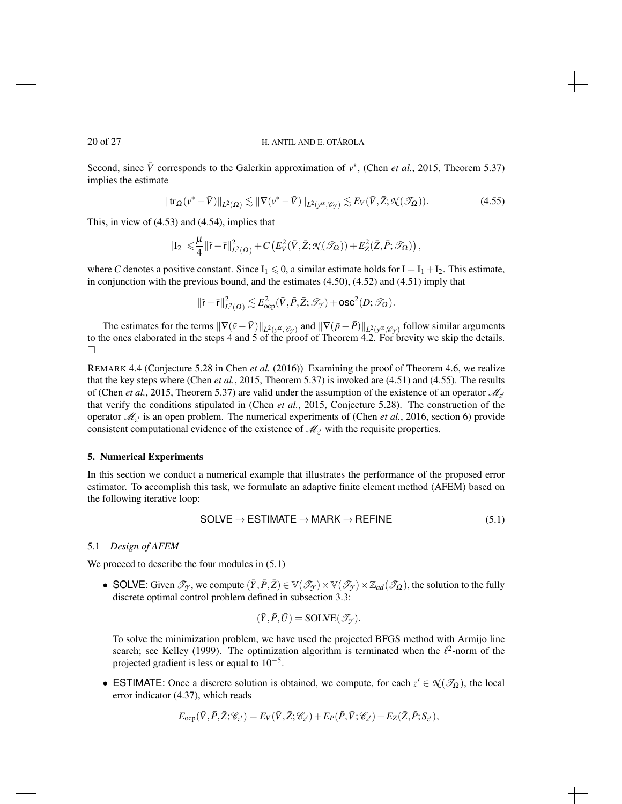Second, since  $\bar{V}$  corresponds to the Galerkin approximation of  $v^*$ , (Chen *et al.*, 2015, Theorem 5.37) implies the estimate

$$
\|\operatorname{tr}_{\Omega}(v^* - \bar{V})\|_{L^2(\Omega)} \lesssim \|\nabla(v^* - \bar{V})\|_{L^2(v^\alpha, \mathscr{C}_\mathcal{Y})} \lesssim E_V(\bar{V}, \bar{Z}; \mathcal{H}(\mathscr{T}_\Omega)).\tag{4.55}
$$

This, in view of (4.53) and (4.54), implies that

$$
|\mathrm{I}_2|\leqslant \frac{\mu}{4}\|\tilde{\mathbf{r}}-\bar{\mathbf{r}}\|_{L^2(\Omega)}^2+C\left(E^2_V(\bar{V},\bar{Z};\mathcal{K}(\mathscr{T}_\Omega))+E^2_Z(\bar{Z},\bar{P};\mathscr{T}_\Omega)\right),
$$

where *C* denotes a positive constant. Since  $I_1 \le 0$ , a similar estimate holds for  $I = I_1 + I_2$ . This estimate, in conjunction with the previous bound, and the estimates (4.50), (4.52) and (4.51) imply that

$$
\|\tilde{\mathbf{r}}-\bar{\mathbf{r}}\|^2_{L^2(\varOmega)}\lesssim E^2_{\rm ocp}(\bar{V},\bar{P},\bar{Z};\mathscr{T}_{\mathcal{Y}})+{\rm osc}^2(D;\mathscr{T}_\varOmega).
$$

The estimates for the terms  $\|\nabla(\bar{v} - \bar{V})\|_{L^2(y^\alpha, \mathscr{C}_{\mathcal{Y}})}$  and  $\|\nabla(\bar{p} - \bar{P})\|_{L^2(y^\alpha, \mathscr{C}_{\mathcal{Y}})}$  follow similar arguments to the ones elaborated in the steps 4 and 5 of the proof of Theorem 4.2. For brevity we skip the details.  $\Box$ 

REMARK 4.4 (Conjecture 5.28 in Chen *et al.* (2016)) Examining the proof of Theorem 4.6, we realize that the key steps where (Chen *et al.*, 2015, Theorem 5.37) is invoked are (4.51) and (4.55). The results of (Chen *et al.*, 2015, Theorem 5.37) are valid under the assumption of the existence of an operator  $\mathcal{M}_z$ that verify the conditions stipulated in (Chen *et al.*, 2015, Conjecture 5.28). The construction of the operator  $\mathcal{M}_{z}$  is an open problem. The numerical experiments of (Chen *et al.*, 2016, section 6) provide consistent computational evidence of the existence of  $\mathcal{M}_{z'}$  with the requisite properties.

# 5. Numerical Experiments

In this section we conduct a numerical example that illustrates the performance of the proposed error estimator. To accomplish this task, we formulate an adaptive finite element method (AFEM) based on the following iterative loop:

$$
SOLVE \rightarrow ESTIMATE \rightarrow MARK \rightarrow REFINE
$$
 (5.1)

# 5.1 *Design of AFEM*

We proceed to describe the four modules in  $(5.1)$ 

• SOLVE: Given  $\mathcal{T}_{\gamma}$ , we compute  $(\bar{Y}, \bar{P}, \bar{Z}) \in \mathbb{V}(\mathcal{T}_{\gamma}) \times \mathbb{V}(\mathcal{T}_{\gamma}) \times \mathbb{Z}_{ad}(\mathcal{T}_{\Omega})$ , the solution to the fully discrete optimal control problem defined in subsection 3.3:

$$
(\bar{Y}, \bar{P}, \bar{U}) = \text{SOLVE}(\mathscr{T}_{\mathcal{Y}}).
$$

To solve the minimization problem, we have used the projected BFGS method with Armijo line search; see Kelley (1999). The optimization algorithm is terminated when the  $\ell^2$ -norm of the projected gradient is less or equal to  $10^{-5}$ .

• ESTIMATE: Once a discrete solution is obtained, we compute, for each  $z' \in \mathcal{X}(\mathcal{S}_{\Omega})$ , the local error indicator (4.37), which reads

$$
E_{\text{ocp}}(\bar{V}, \bar{P}, \bar{Z}; \mathscr{C}_{z'}) = E_V(\bar{V}, \bar{Z}; \mathscr{C}_{z'}) + E_P(\bar{P}, \bar{V}; \mathscr{C}_{z'}) + E_Z(\bar{Z}, \bar{P}; S_{z'}),
$$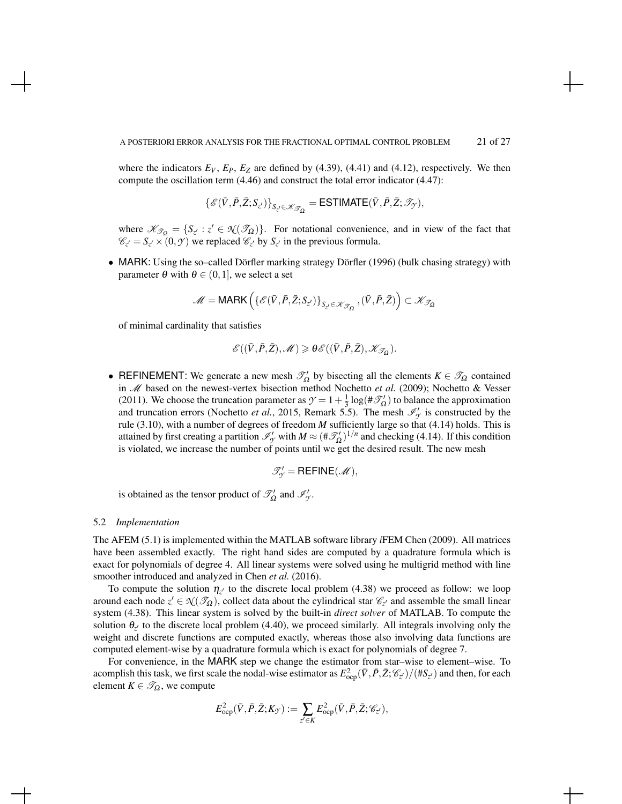where the indicators  $E_V$ ,  $E_P$ ,  $E_Z$  are defined by (4.39), (4.41) and (4.12), respectively. We then compute the oscillation term (4.46) and construct the total error indicator (4.47):

$$
\{\mathscr{E}(\bar{V},\bar{P},\bar{Z};S_{z'})\}_{S_{z'}\in\mathscr{K}_{\mathscr{T}_{\Omega}}}=\text{ESTIMATE}(\bar{V},\bar{P},\bar{Z};\mathscr{T}_{\mathscr{Y}}),
$$

where  $\mathcal{K}_{\mathcal{T}_{\Omega}} = \{S_{z'} : z' \in \mathcal{N}(\mathcal{T}_{\Omega})\}$ . For notational convenience, and in view of the fact that  $\mathcal{C}_{z'} = S_{z'} \times (0, \mathcal{Y})$  we replaced  $\mathcal{C}_{z'}$  by  $S_{z'}$  in the previous formula.

• MARK: Using the so–called Dörfler marking strategy Dörfler (1996) (bulk chasing strategy) with parameter  $\theta$  with  $\theta \in (0,1]$ , we select a set

$$
\mathscr{M}=\mathsf{MARK}\left(\{\mathscr{E}(\bar{V},\bar{P},\bar{Z};S_{z'})\}_{S_{z'}\in\mathscr{K}_{\mathscr{T}_{\Omega}}},(\bar{V},\bar{P},\bar{Z})\right)\subset\mathscr{K}_{\mathscr{T}_{\Omega}}
$$

of minimal cardinality that satisfies

$$
\mathscr{E}((\bar{V},\bar{P},\bar{Z}),\mathscr{M})\geqslant \theta \mathscr{E}((\bar{V},\bar{P},\bar{Z}),\mathscr{K}_{\mathscr{T}_{\Omega}}).
$$

• REFINEMENT: We generate a new mesh  $\mathcal{T}'_{\Omega}$  by bisecting all the elements  $K \in \mathcal{T}_{\Omega}$  contained in M based on the newest-vertex bisection method Nochetto *et al.* (2009); Nochetto & Vesser (2011). We choose the truncation parameter as  $\mathcal{Y} = 1 + \frac{1}{3} \log(\#\mathcal{I}_{\Omega})$  to balance the approximation and truncation errors (Nochetto *et al.*, 2015, Remark 5.5). The mesh  $\mathcal{I}'_{\gamma}$  is constructed by the rule (3.10), with a number of degrees of freedom *M* sufficiently large so that (4.14) holds. This is attained by first creating a partition  $\mathcal{I}'_y$  with  $M \approx (\#\mathcal{I}'_\Omega)^{1/n}$  and checking (4.14). If this condition is violated, we increase the number of points until we get the desired result. The new mesh

$$
\mathscr{T}'_{\mathcal{Y}} = \mathsf{REFINE}(\mathcal{M}),
$$

is obtained as the tensor product of  $\mathcal{T}'_0$  and  $\mathcal{I}'_y$ .

### 5.2 *Implementation*

The AFEM (5.1) is implemented within the MATLAB software library *i*FEM Chen (2009). All matrices have been assembled exactly. The right hand sides are computed by a quadrature formula which is exact for polynomials of degree 4. All linear systems were solved using he multigrid method with line smoother introduced and analyzed in Chen *et al.* (2016).

To compute the solution  $\eta_{z'}$  to the discrete local problem (4.38) we proceed as follow: we loop around each node  $z' \in \mathcal{N}(\mathcal{I}_\Omega)$ , collect data about the cylindrical star  $\mathcal{C}_{z'}$  and assemble the small linear system (4.38). This linear system is solved by the built-in *direct solver* of MATLAB. To compute the solution  $\theta_{z'}$  to the discrete local problem (4.40), we proceed similarly. All integrals involving only the weight and discrete functions are computed exactly, whereas those also involving data functions are computed element-wise by a quadrature formula which is exact for polynomials of degree 7.

For convenience, in the MARK step we change the estimator from star–wise to element–wise. To acomplish this task, we first scale the nodal-wise estimator as  $E_{\text{ocp}}^2(\bar{V}, \bar{P}, \bar{Z}; \mathscr{C}_{z'})/(\#S_{z'})$  and then, for each element  $K \in \mathcal{T}_{\Omega}$ , we compute

$$
E_{\text{ocp}}^2(\bar{V}, \bar{P}, \bar{Z}; K_{\mathcal{Y}}) := \sum_{z' \in K} E_{\text{ocp}}^2(\bar{V}, \bar{P}, \bar{Z}; \mathscr{C}_{z'}),
$$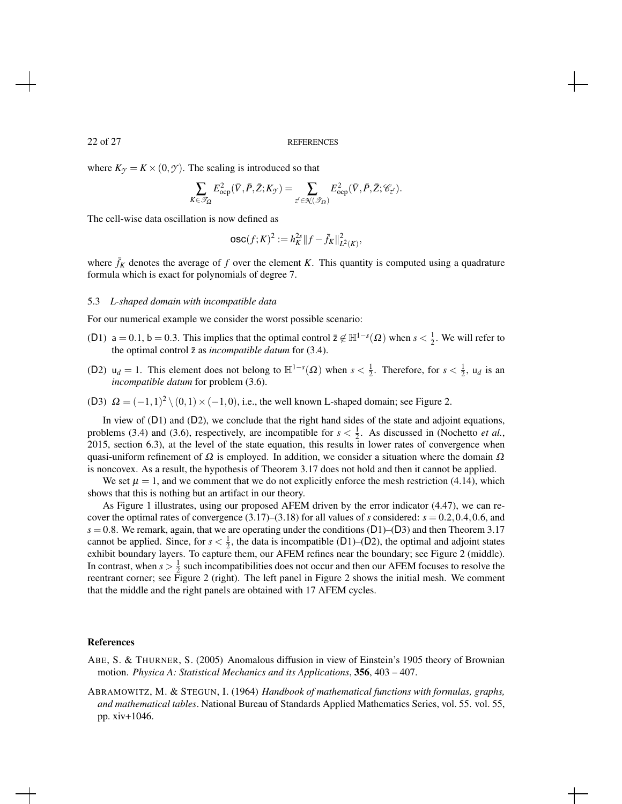#### 22 of 27 REFERENCES

where  $K_{\gamma} = K \times (0, \gamma)$ . The scaling is introduced so that

$$
\sum_{K\in\mathscr{T}_{\Omega}} E_{\rm ocp}^2(\bar{V},\bar{P},\bar{Z};K_{\mathcal{Y}}) = \sum_{z'\in\mathcal{K}(\mathscr{T}_{\Omega})} E_{\rm ocp}^2(\bar{V},\bar{P},\bar{Z};\mathscr{C}_{z'}).
$$

The cell-wise data oscillation is now defined as

$$
\mathsf{osc}(f;K)^2 := h_K^{2s} \|f - \bar{f}_K\|_{L^2(K)}^2,
$$

where  $\bar{f}_K$  denotes the average of f over the element K. This quantity is computed using a quadrature formula which is exact for polynomials of degree 7.

### 5.3 *L-shaped domain with incompatible data*

For our numerical example we consider the worst possible scenario:

- (D1) a = 0.1, b = 0.3. This implies that the optimal control  $\bar{z} \notin \mathbb{H}^{1-s}(\Omega)$  when  $s < \frac{1}{2}$ . We will refer to the optimal control  $\bar{z}$  as *incompatible datum* for (3.4).
- (D2)  $u_d = 1$ . This element does not belong to  $\mathbb{H}^{1-s}(\Omega)$  when  $s < \frac{1}{2}$ . Therefore, for  $s < \frac{1}{2}$ ,  $u_d$  is an *incompatible datum* for problem (3.6).
- (D3)  $\Omega = (-1,1)^2 \setminus (0,1) \times (-1,0)$ , i.e., the well known L-shaped domain; see Figure 2.

In view of (D1) and (D2), we conclude that the right hand sides of the state and adjoint equations, problems (3.4) and (3.6), respectively, are incompatible for  $s < \frac{1}{2}$ . As discussed in (Nochetto *et al.*, 2015, section 6.3), at the level of the state equation, this results in lower rates of convergence when quasi-uniform refinement of  $\Omega$  is employed. In addition, we consider a situation where the domain  $\Omega$ is noncovex. As a result, the hypothesis of Theorem 3.17 does not hold and then it cannot be applied.

We set  $\mu = 1$ , and we comment that we do not explicitly enforce the mesh restriction (4.14), which shows that this is nothing but an artifact in our theory.

As Figure 1 illustrates, using our proposed AFEM driven by the error indicator (4.47), we can recover the optimal rates of convergence  $(3.17)$ – $(3.18)$  for all values of *s* considered:  $s = 0.2, 0.4, 0.6$ , and  $s = 0.8$ . We remark, again, that we are operating under the conditions (D1)–(D3) and then Theorem 3.17 cannot be applied. Since, for  $s < \frac{1}{2}$ , the data is incompatible (D1)–(D2), the optimal and adjoint states exhibit boundary layers. To capture them, our AFEM refines near the boundary; see Figure 2 (middle). In contrast, when  $s > \frac{1}{2}$  such incompatibilities does not occur and then our AFEM focuses to resolve the reentrant corner; see Figure 2 (right). The left panel in Figure 2 shows the initial mesh. We comment that the middle and the right panels are obtained with 17 AFEM cycles.

### References

ABE, S. & THURNER, S. (2005) Anomalous diffusion in view of Einstein's 1905 theory of Brownian motion. *Physica A: Statistical Mechanics and its Applications*, 356, 403 – 407.

ABRAMOWITZ, M. & STEGUN, I. (1964) *Handbook of mathematical functions with formulas, graphs, and mathematical tables*. National Bureau of Standards Applied Mathematics Series, vol. 55. vol. 55, pp. xiv+1046.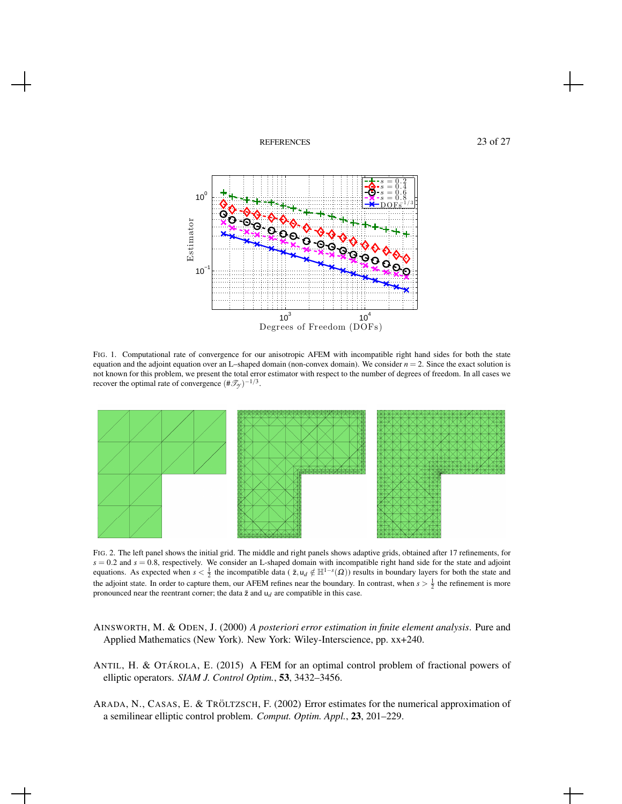





FIG. 1. Computational rate of convergence for our anisotropic AFEM with incompatible right hand sides for both the state equation and the adjoint equation over an L–shaped domain (non-convex domain). We consider  $n = 2$ . Since the exact solution is not known for this problem, we present the total error estimator with respect to the number of degrees of freedom. In all cases we recover the optimal rate of convergence  $(\#\mathscr{T}_{\mathcal{Y}})^{-1/3}$ .



FIG. 2. The left panel shows the initial grid. The middle and right panels shows adaptive grids, obtained after 17 refinements, for  $s = 0.2$  and  $s = 0.8$ , respectively. We consider an L-shaped domain with incompatible right hand side for the state and adjoint equations. As expected when  $s < \frac{1}{2}$  the incompatible data ( $\bar{z}, u_d \notin \mathbb{H}^{1-s}(\Omega)$ ) results in boundary layers for both the state and the adjoint state. In order to capture them, our AFEM refines near the boundary. In contrast, when  $s > \frac{1}{2}$  the refinement is more pronounced near the reentrant corner; the data  $\bar{z}$  and  $u_d$  are compatible in this case.

- AINSWORTH, M. & ODEN, J. (2000) *A posteriori error estimation in finite element analysis*. Pure and Applied Mathematics (New York). New York: Wiley-Interscience, pp. xx+240.
- ANTIL, H. & OTÁROLA, E. (2015) A FEM for an optimal control problem of fractional powers of elliptic operators. *SIAM J. Control Optim.*, 53, 3432–3456.
- ARADA, N., CASAS, E. & TRÖLTZSCH, F. (2002) Error estimates for the numerical approximation of a semilinear elliptic control problem. *Comput. Optim. Appl.*, 23, 201–229.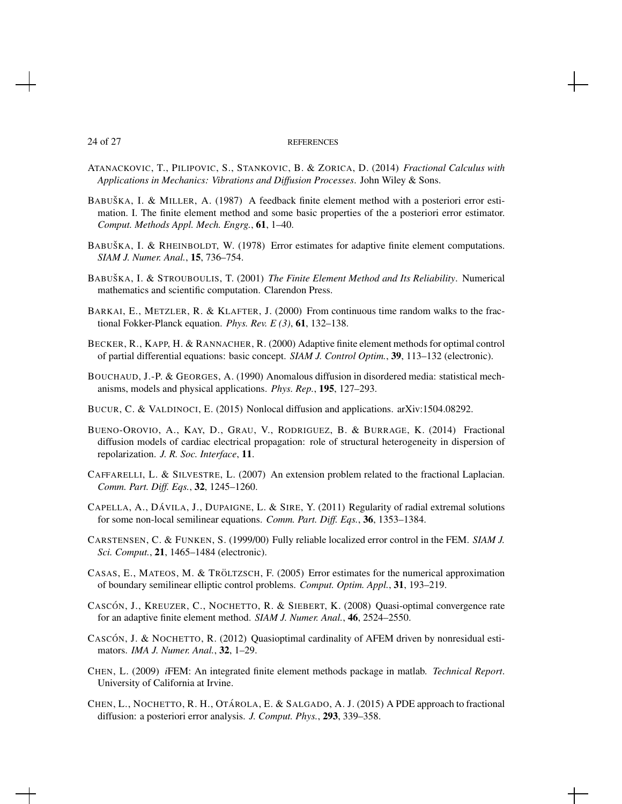#### 24 of 27 REFERENCES

- ATANACKOVIC, T., PILIPOVIC, S., STANKOVIC, B. & ZORICA, D. (2014) *Fractional Calculus with Applications in Mechanics: Vibrations and Diffusion Processes*. John Wiley & Sons.
- BABUŠKA, I. & MILLER, A. (1987) A feedback finite element method with a posteriori error estimation. I. The finite element method and some basic properties of the a posteriori error estimator. *Comput. Methods Appl. Mech. Engrg.*, 61, 1–40.
- BABUŠKA, I. & RHEINBOLDT, W. (1978) Error estimates for adaptive finite element computations. *SIAM J. Numer. Anal.*, 15, 736–754.
- BABUŠKA, I. & STROUBOULIS, T. (2001) *The Finite Element Method and Its Reliability*. Numerical mathematics and scientific computation. Clarendon Press.
- BARKAI, E., METZLER, R. & KLAFTER, J. (2000) From continuous time random walks to the fractional Fokker-Planck equation. *Phys. Rev. E (3)*, 61, 132–138.
- BECKER, R., KAPP, H. & RANNACHER, R. (2000) Adaptive finite element methods for optimal control of partial differential equations: basic concept. *SIAM J. Control Optim.*, 39, 113–132 (electronic).
- BOUCHAUD, J.-P. & GEORGES, A. (1990) Anomalous diffusion in disordered media: statistical mechanisms, models and physical applications. *Phys. Rep.*, 195, 127–293.
- BUCUR, C. & VALDINOCI, E. (2015) Nonlocal diffusion and applications. arXiv:1504.08292.
- BUENO-OROVIO, A., KAY, D., GRAU, V., RODRIGUEZ, B. & BURRAGE, K. (2014) Fractional diffusion models of cardiac electrical propagation: role of structural heterogeneity in dispersion of repolarization. *J. R. Soc. Interface*, 11.
- CAFFARELLI, L. & SILVESTRE, L. (2007) An extension problem related to the fractional Laplacian. *Comm. Part. Diff. Eqs.*, 32, 1245–1260.
- CAPELLA, A., DÁVILA, J., DUPAIGNE, L. & SIRE, Y. (2011) Regularity of radial extremal solutions for some non-local semilinear equations. *Comm. Part. Diff. Eqs.*, 36, 1353–1384.
- CARSTENSEN, C. & FUNKEN, S. (1999/00) Fully reliable localized error control in the FEM. *SIAM J. Sci. Comput.*, 21, 1465–1484 (electronic).
- CASAS, E., MATEOS, M. & TRÖLTZSCH, F.  $(2005)$  Error estimates for the numerical approximation of boundary semilinear elliptic control problems. *Comput. Optim. Appl.*, 31, 193–219.
- CASCÓN, J., KREUZER, C., NOCHETTO, R. & SIEBERT, K. (2008) Quasi-optimal convergence rate for an adaptive finite element method. *SIAM J. Numer. Anal.*, 46, 2524–2550.
- CASCÓN, J. & NOCHETTO, R. (2012) Quasioptimal cardinality of AFEM driven by nonresidual estimators. *IMA J. Numer. Anal.*, 32, 1–29.
- CHEN, L. (2009) *i*FEM: An integrated finite element methods package in matlab. *Technical Report*. University of California at Irvine.
- CHEN, L., NOCHETTO, R. H., OTÁROLA, E. & SALGADO, A. J. (2015) A PDE approach to fractional diffusion: a posteriori error analysis. *J. Comput. Phys.*, 293, 339–358.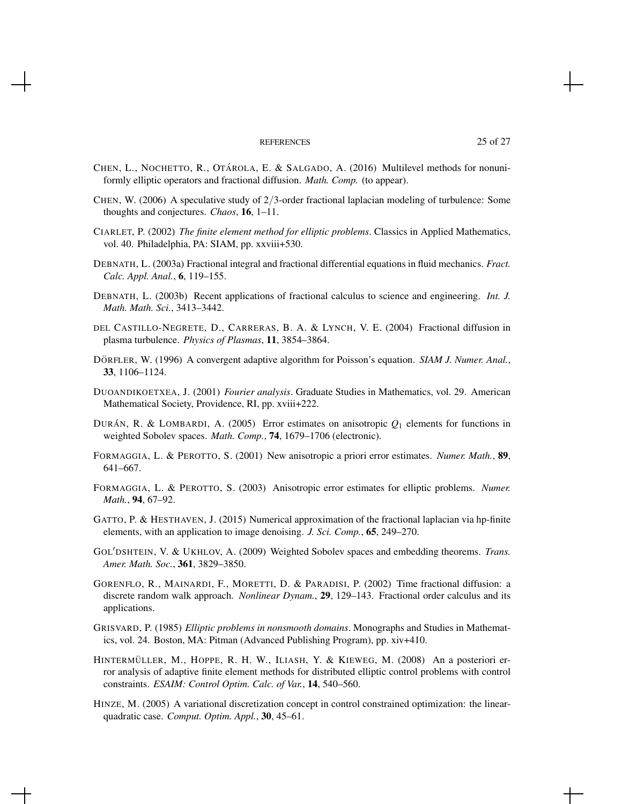#### REFERENCES 25 of 27

- CHEN, L., NOCHETTO, R., OTÁROLA, E. & SALGADO, A. (2016) Multilevel methods for nonuniformly elliptic operators and fractional diffusion. *Math. Comp.* (to appear).
- CHEN, W. (2006) A speculative study of  $2/3$ -order fractional laplacian modeling of turbulence: Some thoughts and conjectures. *Chaos*, 16, 1–11.
- CIARLET, P. (2002) *The finite element method for elliptic problems*. Classics in Applied Mathematics, vol. 40. Philadelphia, PA: SIAM, pp. xxviii+530.
- DEBNATH, L. (2003a) Fractional integral and fractional differential equations in fluid mechanics. *Fract. Calc. Appl. Anal.*, 6, 119–155.
- DEBNATH, L. (2003b) Recent applications of fractional calculus to science and engineering. *Int. J. Math. Math. Sci.*, 3413–3442.
- DEL CASTILLO-NEGRETE, D., CARRERAS, B. A. & LYNCH, V. E. (2004) Fractional diffusion in plasma turbulence. *Physics of Plasmas*, 11, 3854–3864.
- DÖRFLER, W. (1996) A convergent adaptive algorithm for Poisson's equation. *SIAM J. Numer. Anal.*, 33, 1106–1124.
- DUOANDIKOETXEA, J. (2001) *Fourier analysis*. Graduate Studies in Mathematics, vol. 29. American Mathematical Society, Providence, RI, pp. xviii+222.
- DURÁN, R. & LOMBARDI, A. (2005) Error estimates on anisotropic  $Q_1$  elements for functions in weighted Sobolev spaces. *Math. Comp.*, 74, 1679–1706 (electronic).
- FORMAGGIA, L. & PEROTTO, S. (2001) New anisotropic a priori error estimates. *Numer. Math.*, 89, 641–667.
- FORMAGGIA, L. & PEROTTO, S. (2003) Anisotropic error estimates for elliptic problems. *Numer. Math.*, 94, 67–92.
- GATTO, P. & HESTHAVEN, J. (2015) Numerical approximation of the fractional laplacian via hp-finite elements, with an application to image denoising. *J. Sci. Comp.*, 65, 249–270.
- GOL<sup>'</sup>DSHTEIN, V. & UKHLOV, A. (2009) Weighted Sobolev spaces and embedding theorems. *Trans. Amer. Math. Soc.*, 361, 3829–3850.
- GORENFLO, R., MAINARDI, F., MORETTI, D. & PARADISI, P. (2002) Time fractional diffusion: a discrete random walk approach. *Nonlinear Dynam.*, 29, 129–143. Fractional order calculus and its applications.
- GRISVARD, P. (1985) *Elliptic problems in nonsmooth domains*. Monographs and Studies in Mathematics, vol. 24. Boston, MA: Pitman (Advanced Publishing Program), pp. xiv+410.
- HINTERMÜLLER, M., HOPPE, R. H. W., ILIASH, Y. & KIEWEG, M. (2008) An a posteriori error analysis of adaptive finite element methods for distributed elliptic control problems with control constraints. *ESAIM: Control Optim. Calc. of Var.*, 14, 540–560.
- HINZE, M. (2005) A variational discretization concept in control constrained optimization: the linearquadratic case. *Comput. Optim. Appl.*, 30, 45–61.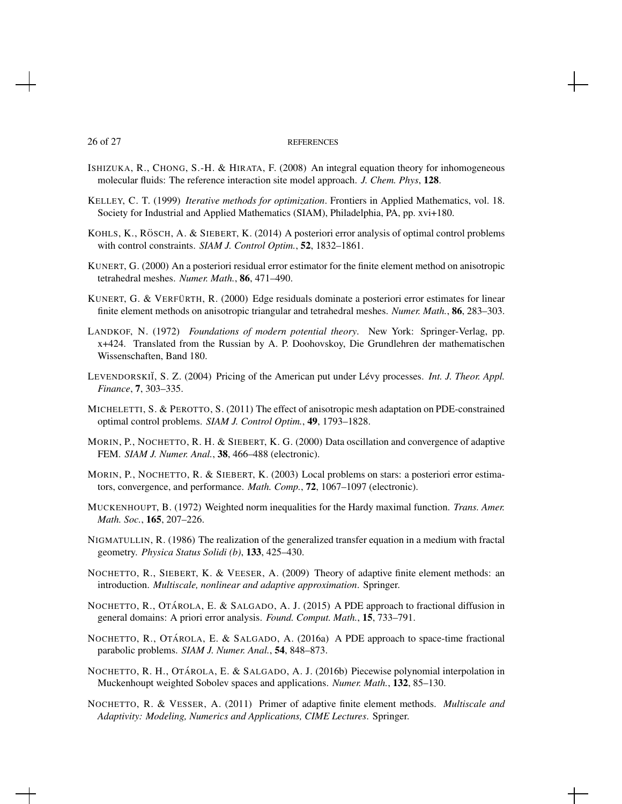#### 26 of 27 REFERENCES

- ISHIZUKA, R., CHONG, S.-H. & HIRATA, F. (2008) An integral equation theory for inhomogeneous molecular fluids: The reference interaction site model approach. *J. Chem. Phys*, 128.
- KELLEY, C. T. (1999) *Iterative methods for optimization*. Frontiers in Applied Mathematics, vol. 18. Society for Industrial and Applied Mathematics (SIAM), Philadelphia, PA, pp. xvi+180.
- KOHLS, K., RÖSCH, A. & SIEBERT, K. (2014) A posteriori error analysis of optimal control problems with control constraints. *SIAM J. Control Optim.*, 52, 1832–1861.
- KUNERT, G. (2000) An a posteriori residual error estimator for the finite element method on anisotropic tetrahedral meshes. *Numer. Math.*, 86, 471–490.
- KUNERT, G. & VERFÜRTH, R.  $(2000)$  Edge residuals dominate a posteriori error estimates for linear finite element methods on anisotropic triangular and tetrahedral meshes. *Numer. Math.*, 86, 283–303.
- LANDKOF, N. (1972) *Foundations of modern potential theory*. New York: Springer-Verlag, pp. x+424. Translated from the Russian by A. P. Doohovskoy, Die Grundlehren der mathematischen Wissenschaften, Band 180.
- LEVENDORSKII, S. Z. (2004) Pricing of the American put under Lévy processes. *Int. J. Theor. Appl. Finance*, 7, 303–335.
- MICHELETTI, S. & PEROTTO, S. (2011) The effect of anisotropic mesh adaptation on PDE-constrained optimal control problems. *SIAM J. Control Optim.*, 49, 1793–1828.
- MORIN, P., NOCHETTO, R. H. & SIEBERT, K. G. (2000) Data oscillation and convergence of adaptive FEM. *SIAM J. Numer. Anal.*, 38, 466–488 (electronic).
- MORIN, P., NOCHETTO, R. & SIEBERT, K. (2003) Local problems on stars: a posteriori error estimators, convergence, and performance. *Math. Comp.*, 72, 1067–1097 (electronic).
- MUCKENHOUPT, B. (1972) Weighted norm inequalities for the Hardy maximal function. *Trans. Amer. Math. Soc.*, 165, 207–226.
- NIGMATULLIN, R. (1986) The realization of the generalized transfer equation in a medium with fractal geometry. *Physica Status Solidi (b)*, 133, 425–430.
- NOCHETTO, R., SIEBERT, K. & VEESER, A. (2009) Theory of adaptive finite element methods: an introduction. *Multiscale, nonlinear and adaptive approximation*. Springer.
- NOCHETTO, R., OTÁROLA, E. & SALGADO, A. J. (2015) A PDE approach to fractional diffusion in general domains: A priori error analysis. *Found. Comput. Math.*, 15, 733–791.
- NOCHETTO, R., OTÁROLA, E. & SALGADO, A. (2016a) A PDE approach to space-time fractional parabolic problems. *SIAM J. Numer. Anal.*, 54, 848–873.
- NOCHETTO, R. H., OTÁROLA, E. & SALGADO, A. J. (2016b) Piecewise polynomial interpolation in Muckenhoupt weighted Sobolev spaces and applications. *Numer. Math.*, 132, 85–130.
- NOCHETTO, R. & VESSER, A. (2011) Primer of adaptive finite element methods. *Multiscale and Adaptivity: Modeling, Numerics and Applications, CIME Lectures*. Springer.